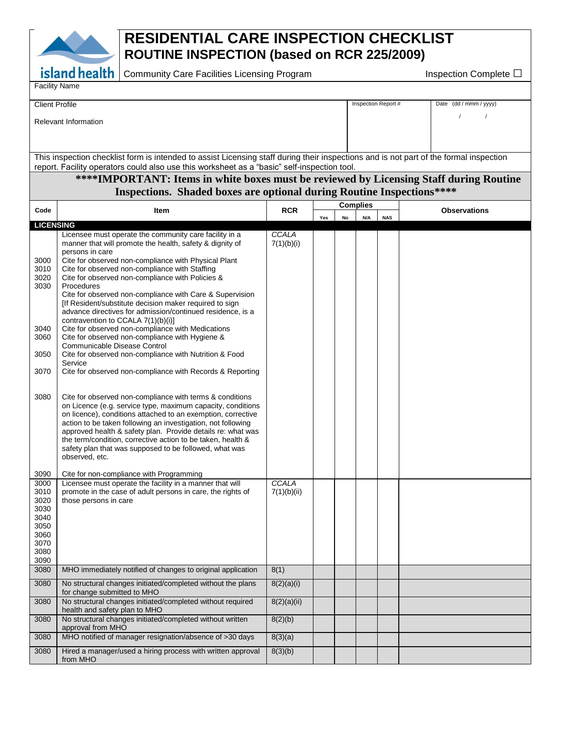

## **RESIDENTIAL CARE INSPECTION CHECKLIST ROUTINE INSPECTION (based on RCR 225/2009)**

Community Care Facilities Licensing Program Inspection Complete □

| Facility Name |  |
|---------------|--|
|---------------|--|

| <b>Client Profile</b> | Inspection Report # | Date (dd / mmm / yyyy) |
|-----------------------|---------------------|------------------------|
| Relevant Information  |                     |                        |

This inspection checklist form is intended to assist Licensing staff during their inspections and is not part of the formal inspection report. Facility operators could also use this worksheet as a "basic" self-inspection tool.

## **\*\*\*\*IMPORTANT: Items in white boxes must be reviewed by Licensing Staff during Routine Inspections. Shaded boxes are optional during Routine Inspections\*\*\*\***

| Code                                                                 | Item                                                                                                                                                                                                                                                                                                                                                                                                                                                                                                                                                                                                                                                                                                                                                                                                                   | <b>RCR</b>          |     | <b>Complies</b> |     |            | <b>Observations</b> |
|----------------------------------------------------------------------|------------------------------------------------------------------------------------------------------------------------------------------------------------------------------------------------------------------------------------------------------------------------------------------------------------------------------------------------------------------------------------------------------------------------------------------------------------------------------------------------------------------------------------------------------------------------------------------------------------------------------------------------------------------------------------------------------------------------------------------------------------------------------------------------------------------------|---------------------|-----|-----------------|-----|------------|---------------------|
|                                                                      |                                                                                                                                                                                                                                                                                                                                                                                                                                                                                                                                                                                                                                                                                                                                                                                                                        |                     | Yes | No              | N/A | <b>NAS</b> |                     |
| <b>LICENSING</b>                                                     |                                                                                                                                                                                                                                                                                                                                                                                                                                                                                                                                                                                                                                                                                                                                                                                                                        |                     |     |                 |     |            |                     |
| 3000<br>3010<br>3020<br>3030<br>3040<br>3060<br>3050<br>3070         | Licensee must operate the community care facility in a<br>manner that will promote the health, safety & dignity of<br>persons in care<br>Cite for observed non-compliance with Physical Plant<br>Cite for observed non-compliance with Staffing<br>Cite for observed non-compliance with Policies &<br>Procedures<br>Cite for observed non-compliance with Care & Supervision<br>[If Resident/substitute decision maker required to sign<br>advance directives for admission/continued residence, is a<br>contravention to CCALA 7(1)(b)(i)]<br>Cite for observed non-compliance with Medications<br>Cite for observed non-compliance with Hygiene &<br>Communicable Disease Control<br>Cite for observed non-compliance with Nutrition & Food<br>Service<br>Cite for observed non-compliance with Records & Reporting | CCALA<br>7(1)(b)(i) |     |                 |     |            |                     |
| 3080<br>3090                                                         | Cite for observed non-compliance with terms & conditions<br>on Licence (e.g. service type, maximum capacity, conditions<br>on licence), conditions attached to an exemption, corrective<br>action to be taken following an investigation, not following<br>approved health & safety plan. Provide details re: what was<br>the term/condition, corrective action to be taken, health &<br>safety plan that was supposed to be followed, what was<br>observed, etc.<br>Cite for non-compliance with Programming                                                                                                                                                                                                                                                                                                          |                     |     |                 |     |            |                     |
| 3000                                                                 | Licensee must operate the facility in a manner that will                                                                                                                                                                                                                                                                                                                                                                                                                                                                                                                                                                                                                                                                                                                                                               | CCALA               |     |                 |     |            |                     |
| 3010<br>3020<br>3030<br>3040<br>3050<br>3060<br>3070<br>3080<br>3090 | promote in the case of adult persons in care, the rights of<br>those persons in care                                                                                                                                                                                                                                                                                                                                                                                                                                                                                                                                                                                                                                                                                                                                   | 7(1)(b)(ii)         |     |                 |     |            |                     |
| 3080                                                                 | MHO immediately notified of changes to original application                                                                                                                                                                                                                                                                                                                                                                                                                                                                                                                                                                                                                                                                                                                                                            | 8(1)                |     |                 |     |            |                     |
| 3080                                                                 | No structural changes initiated/completed without the plans<br>for change submitted to MHO                                                                                                                                                                                                                                                                                                                                                                                                                                                                                                                                                                                                                                                                                                                             | 8(2)(a)(i)          |     |                 |     |            |                     |
| 3080                                                                 | No structural changes initiated/completed without required<br>health and safety plan to MHO                                                                                                                                                                                                                                                                                                                                                                                                                                                                                                                                                                                                                                                                                                                            | 8(2)(a)(ii)         |     |                 |     |            |                     |
| 3080                                                                 | No structural changes initiated/completed without written<br>approval from MHO                                                                                                                                                                                                                                                                                                                                                                                                                                                                                                                                                                                                                                                                                                                                         | 8(2)(b)             |     |                 |     |            |                     |
| 3080                                                                 | MHO notified of manager resignation/absence of >30 days                                                                                                                                                                                                                                                                                                                                                                                                                                                                                                                                                                                                                                                                                                                                                                | 8(3)(a)             |     |                 |     |            |                     |
| 3080                                                                 | Hired a manager/used a hiring process with written approval<br>from MHO                                                                                                                                                                                                                                                                                                                                                                                                                                                                                                                                                                                                                                                                                                                                                | 8(3)(b)             |     |                 |     |            |                     |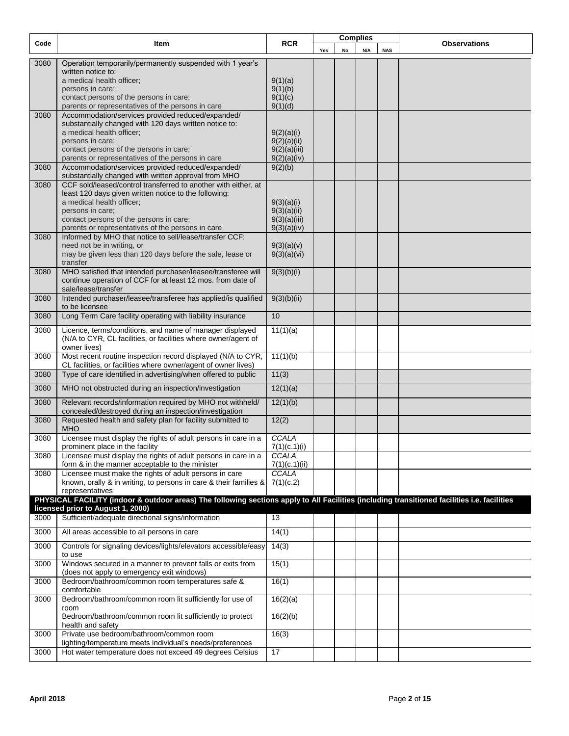| Code | Item                                                                                                                                         | <b>RCR</b>                  | <b>Complies</b> |    |     | <b>Observations</b> |  |
|------|----------------------------------------------------------------------------------------------------------------------------------------------|-----------------------------|-----------------|----|-----|---------------------|--|
|      |                                                                                                                                              |                             | Yes             | No | N/A | <b>NAS</b>          |  |
| 3080 | Operation temporarily/permanently suspended with 1 year's                                                                                    |                             |                 |    |     |                     |  |
|      | written notice to:                                                                                                                           |                             |                 |    |     |                     |  |
|      | a medical health officer;<br>persons in care;                                                                                                | 9(1)(a)<br>9(1)(b)          |                 |    |     |                     |  |
|      | contact persons of the persons in care;                                                                                                      | 9(1)(c)                     |                 |    |     |                     |  |
|      | parents or representatives of the persons in care                                                                                            | 9(1)(d)                     |                 |    |     |                     |  |
| 3080 | Accommodation/services provided reduced/expanded/                                                                                            |                             |                 |    |     |                     |  |
|      | substantially changed with 120 days written notice to:                                                                                       |                             |                 |    |     |                     |  |
|      | a medical health officer;<br>persons in care;                                                                                                | 9(2)(a)(i)<br>9(2)(a)(ii)   |                 |    |     |                     |  |
|      | contact persons of the persons in care;                                                                                                      | 9(2)(a)(iii)                |                 |    |     |                     |  |
|      | parents or representatives of the persons in care                                                                                            | 9(2)(a)(iv)                 |                 |    |     |                     |  |
| 3080 | Accommodation/services provided reduced/expanded/                                                                                            | 9(2)(b)                     |                 |    |     |                     |  |
| 3080 | substantially changed with written approval from MHO<br>CCF sold/leased/control transferred to another with either, at                       |                             |                 |    |     |                     |  |
|      | least 120 days given written notice to the following:                                                                                        |                             |                 |    |     |                     |  |
|      | a medical health officer;                                                                                                                    | 9(3)(a)(i)                  |                 |    |     |                     |  |
|      | persons in care;                                                                                                                             | 9(3)(a)(ii)                 |                 |    |     |                     |  |
|      | contact persons of the persons in care;<br>parents or representatives of the persons in care                                                 | 9(3)(a)(iii)<br>9(3)(a)(iv) |                 |    |     |                     |  |
| 3080 | Informed by MHO that notice to sell/lease/transfer CCF:                                                                                      |                             |                 |    |     |                     |  |
|      | need not be in writing, or                                                                                                                   | 9(3)(a)(v)                  |                 |    |     |                     |  |
|      | may be given less than 120 days before the sale, lease or                                                                                    | 9(3)(a)(vi)                 |                 |    |     |                     |  |
| 3080 | transfer<br>MHO satisfied that intended purchaser/leasee/transferee will                                                                     | 9(3)(b)(i)                  |                 |    |     |                     |  |
|      | continue operation of CCF for at least 12 mos. from date of                                                                                  |                             |                 |    |     |                     |  |
|      | sale/lease/transfer                                                                                                                          |                             |                 |    |     |                     |  |
| 3080 | Intended purchaser/leasee/transferee has applied/is qualified                                                                                | 9(3)(b)(ii)                 |                 |    |     |                     |  |
| 3080 | to be licensee<br>Long Term Care facility operating with liability insurance                                                                 | 10                          |                 |    |     |                     |  |
|      |                                                                                                                                              |                             |                 |    |     |                     |  |
| 3080 | Licence, terms/conditions, and name of manager displayed<br>(N/A to CYR, CL facilities, or facilities where owner/agent of                   | 11(1)(a)                    |                 |    |     |                     |  |
|      | owner lives)                                                                                                                                 |                             |                 |    |     |                     |  |
| 3080 | Most recent routine inspection record displayed (N/A to CYR,                                                                                 | 11(1)(b)                    |                 |    |     |                     |  |
|      | CL facilities, or facilities where owner/agent of owner lives)                                                                               |                             |                 |    |     |                     |  |
| 3080 | Type of care identified in advertising/when offered to public                                                                                | 11(3)                       |                 |    |     |                     |  |
| 3080 | MHO not obstructed during an inspection/investigation                                                                                        | 12(1)(a)                    |                 |    |     |                     |  |
| 3080 | Relevant records/information required by MHO not withheld/                                                                                   | 12(1)(b)                    |                 |    |     |                     |  |
|      | concealed/destroyed during an inspection/investigation                                                                                       |                             |                 |    |     |                     |  |
| 3080 | Requested health and safety plan for facility submitted to                                                                                   | 12(2)                       |                 |    |     |                     |  |
| 3080 | <b>MHO</b><br>Licensee must display the rights of adult persons in care in a                                                                 | CCALA                       |                 |    |     |                     |  |
|      | prominent place in the facility                                                                                                              | 7(1)(c.1)(i)                |                 |    |     |                     |  |
| 3080 | Licensee must display the rights of adult persons in care in a                                                                               | CCALA                       |                 |    |     |                     |  |
|      | form & in the manner acceptable to the minister                                                                                              | 7(1)(c.1)(ii)               |                 |    |     |                     |  |
| 3080 | Licensee must make the rights of adult persons in care<br>known, orally & in writing, to persons in care & their families &                  | CCALA<br>7(1)(c.2)          |                 |    |     |                     |  |
|      | representatives                                                                                                                              |                             |                 |    |     |                     |  |
|      | PHYSICAL FACILITY (indoor & outdoor areas) The following sections apply to All Facilities (including transitioned facilities i.e. facilities |                             |                 |    |     |                     |  |
|      | licensed prior to August 1, 2000)                                                                                                            |                             |                 |    |     |                     |  |
| 3000 | Sufficient/adequate directional signs/information                                                                                            | 13                          |                 |    |     |                     |  |
| 3000 | All areas accessible to all persons in care                                                                                                  | 14(1)                       |                 |    |     |                     |  |
| 3000 | Controls for signaling devices/lights/elevators accessible/easy                                                                              | 14(3)                       |                 |    |     |                     |  |
|      | to use                                                                                                                                       |                             |                 |    |     |                     |  |
| 3000 | Windows secured in a manner to prevent falls or exits from<br>(does not apply to emergency exit windows)                                     | 15(1)                       |                 |    |     |                     |  |
| 3000 | Bedroom/bathroom/common room temperatures safe &                                                                                             | 16(1)                       |                 |    |     |                     |  |
|      | comfortable                                                                                                                                  |                             |                 |    |     |                     |  |
| 3000 | Bedroom/bathroom/common room lit sufficiently for use of<br>room                                                                             | 16(2)(a)                    |                 |    |     |                     |  |
|      | Bedroom/bathroom/common room lit sufficiently to protect                                                                                     | 16(2)(b)                    |                 |    |     |                     |  |
|      | health and safety                                                                                                                            |                             |                 |    |     |                     |  |
| 3000 | Private use bedroom/bathroom/common room                                                                                                     | 16(3)                       |                 |    |     |                     |  |
|      | lighting/temperature meets individual's needs/preferences<br>Hot water temperature does not exceed 49 degrees Celsius                        | 17                          |                 |    |     |                     |  |
| 3000 |                                                                                                                                              |                             |                 |    |     |                     |  |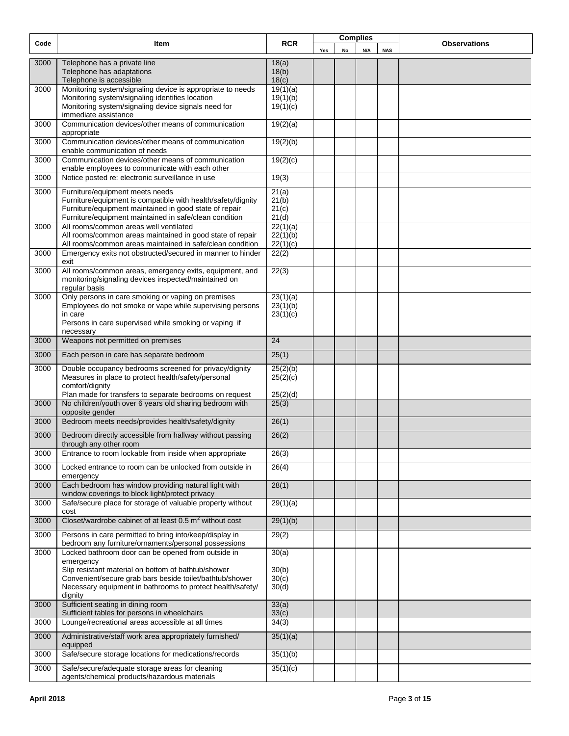| Code | Item                                                                                                                   | <b>RCR</b>              |     | <b>Complies</b> |     |            | <b>Observations</b> |
|------|------------------------------------------------------------------------------------------------------------------------|-------------------------|-----|-----------------|-----|------------|---------------------|
|      |                                                                                                                        |                         | Yes | No              | N/A | <b>NAS</b> |                     |
| 3000 | Telephone has a private line<br>Telephone has adaptations<br>Telephone is accessible                                   | 18(a)<br>18(b)<br>18(c) |     |                 |     |            |                     |
| 3000 | Monitoring system/signaling device is appropriate to needs                                                             | 19(1)(a)                |     |                 |     |            |                     |
|      | Monitoring system/signaling identifies location                                                                        | 19(1)(b)                |     |                 |     |            |                     |
|      | Monitoring system/signaling device signals need for                                                                    | 19(1)(c)                |     |                 |     |            |                     |
|      | immediate assistance                                                                                                   |                         |     |                 |     |            |                     |
| 3000 | Communication devices/other means of communication<br>appropriate                                                      | 19(2)(a)                |     |                 |     |            |                     |
| 3000 | Communication devices/other means of communication<br>enable communication of needs                                    | 19(2)(b)                |     |                 |     |            |                     |
| 3000 | Communication devices/other means of communication<br>enable employees to communicate with each other                  | 19(2)(c)                |     |                 |     |            |                     |
| 3000 | Notice posted re: electronic surveillance in use                                                                       | 19(3)                   |     |                 |     |            |                     |
| 3000 | Furniture/equipment meets needs                                                                                        | 21(a)                   |     |                 |     |            |                     |
|      | Furniture/equipment is compatible with health/safety/dignity                                                           | 21(b)                   |     |                 |     |            |                     |
|      | Furniture/equipment maintained in good state of repair<br>Furniture/equipment maintained in safe/clean condition       | 21(c)<br>21(d)          |     |                 |     |            |                     |
| 3000 | All rooms/common areas well ventilated                                                                                 | 22(1)(a)                |     |                 |     |            |                     |
|      | All rooms/common areas maintained in good state of repair                                                              | 22(1)(b)                |     |                 |     |            |                     |
|      | All rooms/common areas maintained in safe/clean condition                                                              | 22(1)(c)                |     |                 |     |            |                     |
| 3000 | Emergency exits not obstructed/secured in manner to hinder<br>exit                                                     | 22(2)                   |     |                 |     |            |                     |
| 3000 | All rooms/common areas, emergency exits, equipment, and                                                                | 22(3)                   |     |                 |     |            |                     |
|      | monitoring/signaling devices inspected/maintained on<br>regular basis                                                  |                         |     |                 |     |            |                     |
| 3000 | Only persons in care smoking or vaping on premises                                                                     | 23(1)(a)                |     |                 |     |            |                     |
|      | Employees do not smoke or vape while supervising persons                                                               | 23(1)(b)                |     |                 |     |            |                     |
|      | in care<br>Persons in care supervised while smoking or vaping if                                                       | 23(1)(c)                |     |                 |     |            |                     |
|      | necessary                                                                                                              |                         |     |                 |     |            |                     |
| 3000 | Weapons not permitted on premises                                                                                      | 24                      |     |                 |     |            |                     |
| 3000 | Each person in care has separate bedroom                                                                               | 25(1)                   |     |                 |     |            |                     |
| 3000 | Double occupancy bedrooms screened for privacy/dignity                                                                 | 25(2)(b)                |     |                 |     |            |                     |
|      | Measures in place to protect health/safety/personal                                                                    | 25(2)(c)                |     |                 |     |            |                     |
|      | comfort/dignity                                                                                                        |                         |     |                 |     |            |                     |
|      | Plan made for transfers to separate bedrooms on request                                                                | 25(2)(d)                |     |                 |     |            |                     |
| 3000 | No children/youth over 6 years old sharing bedroom with<br>opposite gender                                             | 25(3)                   |     |                 |     |            |                     |
| 3000 | Bedroom meets needs/provides health/safety/dignity                                                                     | 26(1)                   |     |                 |     |            |                     |
| 3000 | Bedroom directly accessible from hallway without passing<br>through any other room                                     | 26(2)                   |     |                 |     |            |                     |
| 3000 | Entrance to room lockable from inside when appropriate                                                                 | 26(3)                   |     |                 |     |            |                     |
| 3000 | Locked entrance to room can be unlocked from outside in                                                                | 26(4)                   |     |                 |     |            |                     |
|      | emergency                                                                                                              |                         |     |                 |     |            |                     |
| 3000 | Each bedroom has window providing natural light with<br>window coverings to block light/protect privacy                | 28(1)                   |     |                 |     |            |                     |
| 3000 | Safe/secure place for storage of valuable property without<br>cost                                                     | 29(1)(a)                |     |                 |     |            |                     |
| 3000 | Closet/wardrobe cabinet of at least $0.5 \text{ m}^2$ without cost                                                     | 29(1)(b)                |     |                 |     |            |                     |
| 3000 | Persons in care permitted to bring into/keep/display in<br>bedroom any furniture/ornaments/personal possessions        | 29(2)                   |     |                 |     |            |                     |
| 3000 | Locked bathroom door can be opened from outside in                                                                     | 30(a)                   |     |                 |     |            |                     |
|      | emergency                                                                                                              |                         |     |                 |     |            |                     |
|      | Slip resistant material on bottom of bathtub/shower                                                                    | 30(b)                   |     |                 |     |            |                     |
|      | Convenient/secure grab bars beside toilet/bathtub/shower<br>Necessary equipment in bathrooms to protect health/safety/ | 30(c)<br>30(d)          |     |                 |     |            |                     |
|      | dignity                                                                                                                |                         |     |                 |     |            |                     |
| 3000 | Sufficient seating in dining room<br>Sufficient tables for persons in wheelchairs                                      | 33(a)<br>33(c)          |     |                 |     |            |                     |
| 3000 | Lounge/recreational areas accessible at all times                                                                      | 34(3)                   |     |                 |     |            |                     |
|      |                                                                                                                        |                         |     |                 |     |            |                     |
| 3000 | Administrative/staff work area appropriately furnished/<br>equipped                                                    | 35(1)(a)                |     |                 |     |            |                     |
| 3000 | Safe/secure storage locations for medications/records                                                                  | 35(1)(b)                |     |                 |     |            |                     |
| 3000 | Safe/secure/adequate storage areas for cleaning<br>agents/chemical products/hazardous materials                        | 35(1)(c)                |     |                 |     |            |                     |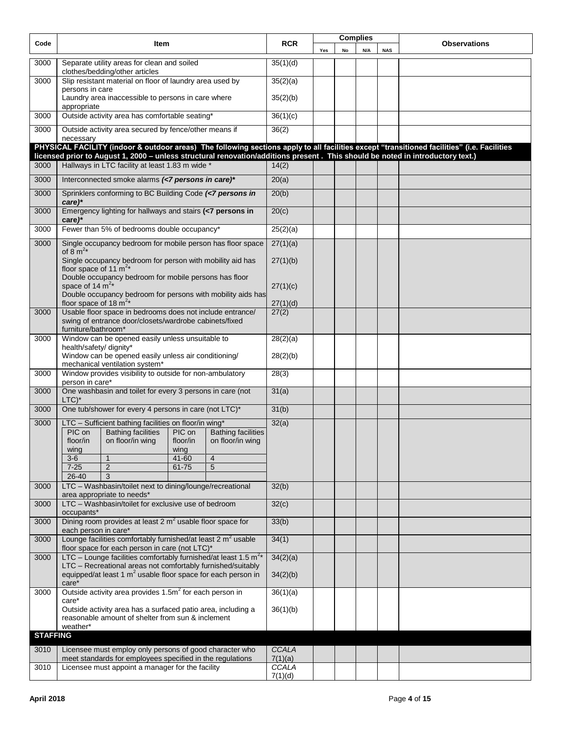| Code            | <b>Item</b>                                                                                                                                              | <b>RCR</b>       |     | <b>Complies</b> |     | <b>Observations</b> |  |
|-----------------|----------------------------------------------------------------------------------------------------------------------------------------------------------|------------------|-----|-----------------|-----|---------------------|--|
|                 |                                                                                                                                                          |                  | Yes | No              | N/A | <b>NAS</b>          |  |
| 3000            | Separate utility areas for clean and soiled<br>clothes/bedding/other articles                                                                            | 35(1)(d)         |     |                 |     |                     |  |
| 3000            | Slip resistant material on floor of laundry area used by                                                                                                 | 35(2)(a)         |     |                 |     |                     |  |
|                 | persons in care<br>Laundry area inaccessible to persons in care where<br>appropriate                                                                     | 35(2)(b)         |     |                 |     |                     |  |
| 3000            | Outside activity area has comfortable seating*                                                                                                           | 36(1)(c)         |     |                 |     |                     |  |
| 3000            | Outside activity area secured by fence/other means if                                                                                                    | 36(2)            |     |                 |     |                     |  |
|                 | necessary<br>PHYSICAL FACILITY (indoor & outdoor areas) The following sections apply to all facilities except "transitioned facilities" (i.e. Facilities |                  |     |                 |     |                     |  |
|                 | licensed prior to August 1, 2000 - unless structural renovation/additions present. This should be noted in introductory text.)                           |                  |     |                 |     |                     |  |
| 3000            | Hallways in LTC facility at least 1.83 m wide *                                                                                                          | 14(2)            |     |                 |     |                     |  |
| 3000            | Interconnected smoke alarms (<7 persons in care)*                                                                                                        | 20(a)            |     |                 |     |                     |  |
| 3000            | Sprinklers conforming to BC Building Code (<7 persons in<br>$care)$ *                                                                                    | 20(b)            |     |                 |     |                     |  |
| 3000            | Emergency lighting for hallways and stairs (<7 persons in<br>care)                                                                                       | 20(c)            |     |                 |     |                     |  |
| 3000            | Fewer than 5% of bedrooms double occupancy*                                                                                                              | 25(2)(a)         |     |                 |     |                     |  |
| 3000            | Single occupancy bedroom for mobile person has floor space                                                                                               | 27(1)(a)         |     |                 |     |                     |  |
|                 | of $8 \text{ m}^2$ *                                                                                                                                     |                  |     |                 |     |                     |  |
|                 | Single occupancy bedroom for person with mobility aid has<br>floor space of 11 $m^{2*}$                                                                  | 27(1)(b)         |     |                 |     |                     |  |
|                 | Double occupancy bedroom for mobile persons has floor<br>space of 14 $m^{2*}$                                                                            | 27(1)(c)         |     |                 |     |                     |  |
|                 | Double occupancy bedroom for persons with mobility aids has                                                                                              |                  |     |                 |     |                     |  |
|                 | floor space of 18 $m^{2*}$                                                                                                                               | 27(1)(d)         |     |                 |     |                     |  |
| 3000            | Usable floor space in bedrooms does not include entrance/<br>swing of entrance door/closets/wardrobe cabinets/fixed                                      | 27(2)            |     |                 |     |                     |  |
| 3000            | furniture/bathroom*<br>Window can be opened easily unless unsuitable to                                                                                  | 28(2)(a)         |     |                 |     |                     |  |
|                 | health/safety/ dignity*                                                                                                                                  |                  |     |                 |     |                     |  |
|                 | Window can be opened easily unless air conditioning/<br>mechanical ventilation system*                                                                   | 28(2)(b)         |     |                 |     |                     |  |
| 3000            | Window provides visibility to outside for non-ambulatory<br>person in care*                                                                              | 28(3)            |     |                 |     |                     |  |
| 3000            | One washbasin and toilet for every 3 persons in care (not                                                                                                | 31(a)            |     |                 |     |                     |  |
|                 | $LTC$ <sup>*</sup>                                                                                                                                       |                  |     |                 |     |                     |  |
| 3000            | One tub/shower for every 4 persons in care (not LTC)*                                                                                                    | 31(b)            |     |                 |     |                     |  |
| 3000            | LTC - Sufficient bathing facilities on floor/in wing*                                                                                                    | 32(a)            |     |                 |     |                     |  |
|                 | PIC on<br><b>Bathing facilities</b><br>PIC on<br><b>Bathing facilities</b><br>floor/in<br>on floor/in wing<br>on floor/in wing<br>floor/in               |                  |     |                 |     |                     |  |
|                 | wing<br>wing                                                                                                                                             |                  |     |                 |     |                     |  |
|                 | $3-6$<br>$\mathbf{1}$<br>$41 - 60$<br>$\overline{4}$<br>$7 - 25$<br>$\overline{2}$<br>61-75<br>5                                                         |                  |     |                 |     |                     |  |
|                 | 26-40<br>3                                                                                                                                               |                  |     |                 |     |                     |  |
| 3000            | LTC - Washbasin/toilet next to dining/lounge/recreational                                                                                                | 32(b)            |     |                 |     |                     |  |
| 3000            | area appropriate to needs*<br>LTC - Washbasin/toilet for exclusive use of bedroom                                                                        | 32(c)            |     |                 |     |                     |  |
|                 | occupants*                                                                                                                                               |                  |     |                 |     |                     |  |
| 3000            | Dining room provides at least $2 \text{ m}^2$ usable floor space for<br>each person in care*                                                             | 33(b)            |     |                 |     |                     |  |
| 3000            | Lounge facilities comfortably furnished/at least 2 m <sup>2</sup> usable<br>floor space for each person in care (not LTC)*                               | 34(1)            |     |                 |     |                     |  |
| 3000            | LTC – Lounge facilities comfortably furnished/at least 1.5 $m^{2*}$                                                                                      | 34(2)(a)         |     |                 |     |                     |  |
|                 | LTC - Recreational areas not comfortably furnished/suitably<br>equipped/at least 1 m <sup>2</sup> usable floor space for each person in                  | 34(2)(b)         |     |                 |     |                     |  |
| 3000            | care*<br>Outside activity area provides 1.5m <sup>2</sup> for each person in                                                                             | 36(1)(a)         |     |                 |     |                     |  |
|                 | care*                                                                                                                                                    |                  |     |                 |     |                     |  |
|                 | Outside activity area has a surfaced patio area, including a<br>reasonable amount of shelter from sun & inclement                                        | 36(1)(b)         |     |                 |     |                     |  |
|                 | weather*                                                                                                                                                 |                  |     |                 |     |                     |  |
| <b>STAFFING</b> |                                                                                                                                                          |                  |     |                 |     |                     |  |
| 3010            | Licensee must employ only persons of good character who                                                                                                  | CCALA            |     |                 |     |                     |  |
|                 | meet standards for employees specified in the regulations                                                                                                | 7(1)(a)          |     |                 |     |                     |  |
| 3010            | Licensee must appoint a manager for the facility                                                                                                         | CCALA<br>7(1)(d) |     |                 |     |                     |  |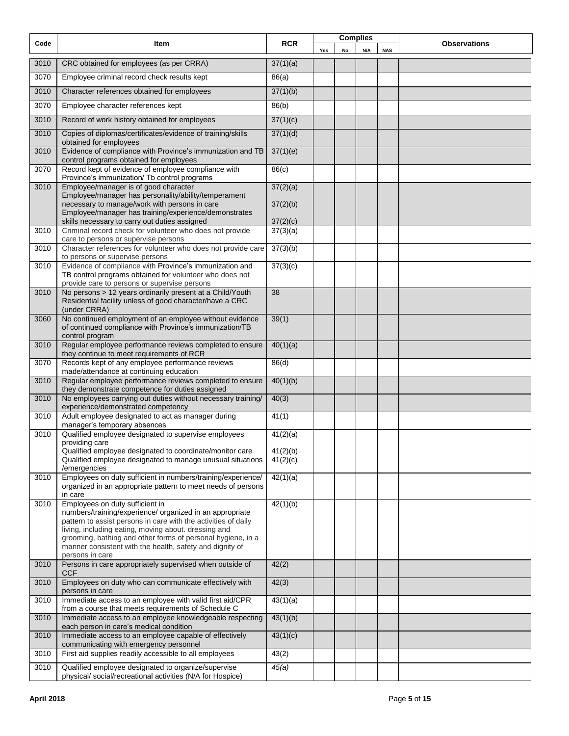| Code | Item                                                                                                                                                                               | <b>RCR</b> |     |    | <b>Complies</b> |            | <b>Observations</b> |
|------|------------------------------------------------------------------------------------------------------------------------------------------------------------------------------------|------------|-----|----|-----------------|------------|---------------------|
|      |                                                                                                                                                                                    |            | Yes | No | N/A             | <b>NAS</b> |                     |
| 3010 | CRC obtained for employees (as per CRRA)                                                                                                                                           | 37(1)(a)   |     |    |                 |            |                     |
| 3070 | Employee criminal record check results kept                                                                                                                                        | 86(a)      |     |    |                 |            |                     |
| 3010 | Character references obtained for employees                                                                                                                                        | 37(1)(b)   |     |    |                 |            |                     |
| 3070 | Employee character references kept                                                                                                                                                 | 86(b)      |     |    |                 |            |                     |
| 3010 | Record of work history obtained for employees                                                                                                                                      | 37(1)(c)   |     |    |                 |            |                     |
| 3010 | Copies of diplomas/certificates/evidence of training/skills<br>obtained for employees                                                                                              | 37(1)(d)   |     |    |                 |            |                     |
| 3010 | Evidence of compliance with Province's immunization and TB<br>control programs obtained for employees                                                                              | 37(1)(e)   |     |    |                 |            |                     |
| 3070 | Record kept of evidence of employee compliance with<br>Province's immunization/ Tb control programs                                                                                | 86(c)      |     |    |                 |            |                     |
| 3010 | Employee/manager is of good character                                                                                                                                              | 37(2)(a)   |     |    |                 |            |                     |
|      | Employee/manager has personality/ability/temperament<br>necessary to manage/work with persons in care<br>Employee/manager has training/experience/demonstrates                     | 37(2)(b)   |     |    |                 |            |                     |
|      | skills necessary to carry out duties assigned                                                                                                                                      | 37(2)(c)   |     |    |                 |            |                     |
| 3010 | Criminal record check for volunteer who does not provide<br>care to persons or supervise persons                                                                                   | 37(3)(a)   |     |    |                 |            |                     |
| 3010 | Character references for volunteer who does not provide care<br>to persons or supervise persons                                                                                    | 37(3)(b)   |     |    |                 |            |                     |
| 3010 | Evidence of compliance with Province's immunization and<br>TB control programs obtained for volunteer who does not<br>provide care to persons or supervise persons                 | 37(3)(c)   |     |    |                 |            |                     |
| 3010 | No persons > 12 years ordinarily present at a Child/Youth<br>Residential facility unless of good character/have a CRC<br>(under CRRA)                                              | 38         |     |    |                 |            |                     |
| 3060 | No continued employment of an employee without evidence<br>of continued compliance with Province's immunization/TB<br>control program                                              | 39(1)      |     |    |                 |            |                     |
| 3010 | Regular employee performance reviews completed to ensure<br>they continue to meet requirements of RCR                                                                              | 40(1)(a)   |     |    |                 |            |                     |
| 3070 | Records kept of any employee performance reviews<br>made/attendance at continuing education                                                                                        | 86(d)      |     |    |                 |            |                     |
| 3010 | Regular employee performance reviews completed to ensure<br>they demonstrate competence for duties assigned                                                                        | 40(1)(b)   |     |    |                 |            |                     |
| 3010 | No employees carrying out duties without necessary training/<br>experience/demonstrated competency                                                                                 | 40(3)      |     |    |                 |            |                     |
| 3010 | Adult employee designated to act as manager during<br>manager's temporary absences                                                                                                 | 41(1)      |     |    |                 |            |                     |
| 3010 | Qualified employee designated to supervise employees                                                                                                                               | 41(2)(a)   |     |    |                 |            |                     |
|      | providing care<br>Qualified employee designated to coordinate/monitor care                                                                                                         | 41(2)(b)   |     |    |                 |            |                     |
|      | Qualified employee designated to manage unusual situations<br>/emergencies                                                                                                         | 41(2)(c)   |     |    |                 |            |                     |
| 3010 | Employees on duty sufficient in numbers/training/experience/<br>organized in an appropriate pattern to meet needs of persons                                                       | 42(1)(a)   |     |    |                 |            |                     |
| 3010 | in care<br>Employees on duty sufficient in                                                                                                                                         | 42(1)(b)   |     |    |                 |            |                     |
|      | numbers/training/experience/ organized in an appropriate<br>pattern to assist persons in care with the activities of daily<br>living, including eating, moving about. dressing and |            |     |    |                 |            |                     |
|      | grooming, bathing and other forms of personal hygiene, in a<br>manner consistent with the health, safety and dignity of                                                            |            |     |    |                 |            |                     |
| 3010 | persons in care<br>Persons in care appropriately supervised when outside of                                                                                                        | 42(2)      |     |    |                 |            |                     |
| 3010 | <b>CCF</b><br>Employees on duty who can communicate effectively with                                                                                                               | 42(3)      |     |    |                 |            |                     |
| 3010 | persons in care<br>Immediate access to an employee with valid first aid/CPR                                                                                                        | 43(1)(a)   |     |    |                 |            |                     |
| 3010 | from a course that meets requirements of Schedule C<br>Immediate access to an employee knowledgeable respecting                                                                    | 43(1)(b)   |     |    |                 |            |                     |
| 3010 | each person in care's medical condition<br>Immediate access to an employee capable of effectively                                                                                  | 43(1)(c)   |     |    |                 |            |                     |
| 3010 | communicating with emergency personnel<br>First aid supplies readily accessible to all employees                                                                                   | 43(2)      |     |    |                 |            |                     |
| 3010 | Qualified employee designated to organize/supervise<br>physical/social/recreational activities (N/A for Hospice)                                                                   | 45(a)      |     |    |                 |            |                     |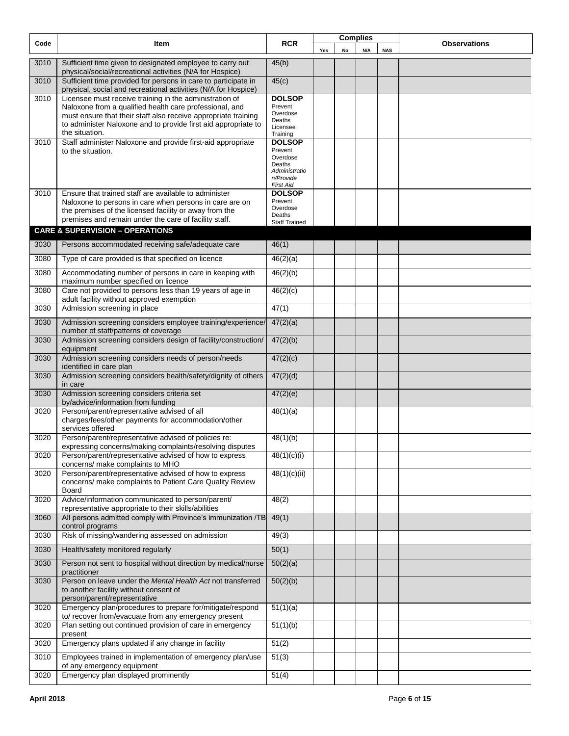| Code | Item                                                                                                                                                                                                                                                                     | <b>RCR</b>                                                                                       |     | <b>Complies</b> |     |            | <b>Observations</b> |
|------|--------------------------------------------------------------------------------------------------------------------------------------------------------------------------------------------------------------------------------------------------------------------------|--------------------------------------------------------------------------------------------------|-----|-----------------|-----|------------|---------------------|
|      |                                                                                                                                                                                                                                                                          |                                                                                                  | Yes | No              | N/A | <b>NAS</b> |                     |
| 3010 | Sufficient time given to designated employee to carry out<br>physical/social/recreational activities (N/A for Hospice)                                                                                                                                                   | 45(b)                                                                                            |     |                 |     |            |                     |
| 3010 | Sufficient time provided for persons in care to participate in<br>physical, social and recreational activities (N/A for Hospice)                                                                                                                                         | 45(c)                                                                                            |     |                 |     |            |                     |
| 3010 | Licensee must receive training in the administration of<br>Naloxone from a qualified health care professional, and<br>must ensure that their staff also receive appropriate training<br>to administer Naloxone and to provide first aid appropriate to<br>the situation. | <b>DOLSOP</b><br>Prevent<br>Overdose<br>Deaths<br>Licensee<br>Training                           |     |                 |     |            |                     |
| 3010 | Staff administer Naloxone and provide first-aid appropriate<br>to the situation.                                                                                                                                                                                         | <b>DOLSOP</b><br>Prevent<br>Overdose<br>Deaths<br>Administratio<br>n/Provide<br><b>First Aid</b> |     |                 |     |            |                     |
| 3010 | Ensure that trained staff are available to administer<br>Naloxone to persons in care when persons in care are on<br>the premises of the licensed facility or away from the<br>premises and remain under the care of facility staff.                                      | <b>DOLSOP</b><br>Prevent<br>Overdose<br>Deaths<br><b>Staff Trained</b>                           |     |                 |     |            |                     |
|      | <b>CARE &amp; SUPERVISION - OPERATIONS</b>                                                                                                                                                                                                                               |                                                                                                  |     |                 |     |            |                     |
| 3030 | Persons accommodated receiving safe/adequate care                                                                                                                                                                                                                        | 46(1)                                                                                            |     |                 |     |            |                     |
| 3080 | Type of care provided is that specified on licence                                                                                                                                                                                                                       | 46(2)(a)                                                                                         |     |                 |     |            |                     |
| 3080 | Accommodating number of persons in care in keeping with<br>maximum number specified on licence                                                                                                                                                                           | 46(2)(b)                                                                                         |     |                 |     |            |                     |
| 3080 | Care not provided to persons less than 19 years of age in<br>adult facility without approved exemption                                                                                                                                                                   | 46(2)(c)                                                                                         |     |                 |     |            |                     |
| 3030 | Admission screening in place                                                                                                                                                                                                                                             | 47(1)                                                                                            |     |                 |     |            |                     |
| 3030 | Admission screening considers employee training/experience/<br>number of staff/patterns of coverage                                                                                                                                                                      | 47(2)(a)                                                                                         |     |                 |     |            |                     |
| 3030 | Admission screening considers design of facility/construction/<br>equipment                                                                                                                                                                                              | 47(2)(b)                                                                                         |     |                 |     |            |                     |
| 3030 | Admission screening considers needs of person/needs<br>identified in care plan                                                                                                                                                                                           | 47(2)(c)                                                                                         |     |                 |     |            |                     |
| 3030 | Admission screening considers health/safety/dignity of others<br>in care                                                                                                                                                                                                 | 47(2)(d)                                                                                         |     |                 |     |            |                     |
| 3030 | Admission screening considers criteria set<br>by/advice/information from funding                                                                                                                                                                                         | 47(2)(e)                                                                                         |     |                 |     |            |                     |
| 3020 | Person/parent/representative advised of all<br>charges/fees/other payments for accommodation/other<br>services offered                                                                                                                                                   | 48(1)(a)                                                                                         |     |                 |     |            |                     |
| 3020 | Person/parent/representative advised of policies re:<br>expressing concerns/making complaints/resolving disputes                                                                                                                                                         | 48(1)(b)                                                                                         |     |                 |     |            |                     |
| 3020 | Person/parent/representative advised of how to express<br>concerns/ make complaints to MHO                                                                                                                                                                               | 48(1)(c)(i)                                                                                      |     |                 |     |            |                     |
| 3020 | Person/parent/representative advised of how to express<br>concerns/ make complaints to Patient Care Quality Review<br>Board                                                                                                                                              | 48(1)(c)(ii)                                                                                     |     |                 |     |            |                     |
| 3020 | Advice/information communicated to person/parent/<br>representative appropriate to their skills/abilities                                                                                                                                                                | 48(2)                                                                                            |     |                 |     |            |                     |
| 3060 | All persons admitted comply with Province's immunization /TB<br>control programs                                                                                                                                                                                         | 49(1)                                                                                            |     |                 |     |            |                     |
| 3030 | Risk of missing/wandering assessed on admission                                                                                                                                                                                                                          | 49(3)                                                                                            |     |                 |     |            |                     |
| 3030 | Health/safety monitored regularly                                                                                                                                                                                                                                        | 50(1)                                                                                            |     |                 |     |            |                     |
| 3030 | Person not sent to hospital without direction by medical/nurse<br>practitioner                                                                                                                                                                                           | 50(2)(a)                                                                                         |     |                 |     |            |                     |
| 3030 | Person on leave under the Mental Health Act not transferred<br>to another facility without consent of<br>person/parent/representative                                                                                                                                    | 50(2)(b)                                                                                         |     |                 |     |            |                     |
| 3020 | Emergency plan/procedures to prepare for/mitigate/respond<br>to/ recover from/evacuate from any emergency present                                                                                                                                                        | 51(1)(a)                                                                                         |     |                 |     |            |                     |
| 3020 | Plan setting out continued provision of care in emergency<br>present                                                                                                                                                                                                     | 51(1)(b)                                                                                         |     |                 |     |            |                     |
| 3020 | Emergency plans updated if any change in facility                                                                                                                                                                                                                        | 51(2)                                                                                            |     |                 |     |            |                     |
| 3010 | Employees trained in implementation of emergency plan/use<br>of any emergency equipment                                                                                                                                                                                  | 51(3)                                                                                            |     |                 |     |            |                     |
| 3020 | Emergency plan displayed prominently                                                                                                                                                                                                                                     | 51(4)                                                                                            |     |                 |     |            |                     |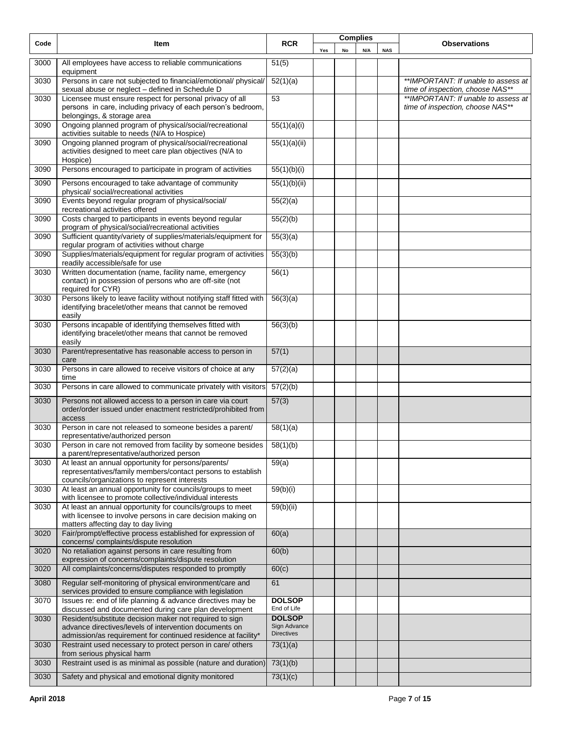| Code | Item                                                                                                                                                                               | <b>RCR</b>                                         |     |    | <b>Complies</b> |            | <b>Observations</b>                                                     |
|------|------------------------------------------------------------------------------------------------------------------------------------------------------------------------------------|----------------------------------------------------|-----|----|-----------------|------------|-------------------------------------------------------------------------|
|      |                                                                                                                                                                                    |                                                    | Yes | No | N/A             | <b>NAS</b> |                                                                         |
| 3000 | All employees have access to reliable communications<br>equipment                                                                                                                  | 51(5)                                              |     |    |                 |            |                                                                         |
| 3030 | Persons in care not subjected to financial/emotional/ physical/<br>sexual abuse or neglect - defined in Schedule D                                                                 | 52(1)(a)                                           |     |    |                 |            | **IMPORTANT: If unable to assess at<br>time of inspection, choose NAS** |
| 3030 | Licensee must ensure respect for personal privacy of all<br>persons in care, including privacy of each person's bedroom,<br>belongings, & storage area                             | $\overline{53}$                                    |     |    |                 |            | **IMPORTANT: If unable to assess at<br>time of inspection, choose NAS** |
| 3090 | Ongoing planned program of physical/social/recreational<br>activities suitable to needs (N/A to Hospice)                                                                           | 55(1)(a)(i)                                        |     |    |                 |            |                                                                         |
| 3090 | Ongoing planned program of physical/social/recreational<br>activities designed to meet care plan objectives (N/A to<br>Hospice)                                                    | 55(1)(a)(ii)                                       |     |    |                 |            |                                                                         |
| 3090 | Persons encouraged to participate in program of activities                                                                                                                         | 55(1)(b)(i)                                        |     |    |                 |            |                                                                         |
| 3090 | Persons encouraged to take advantage of community<br>physical/social/recreational activities                                                                                       | 55(1)(b)(ii)                                       |     |    |                 |            |                                                                         |
| 3090 | Events beyond regular program of physical/social/<br>recreational activities offered                                                                                               | 55(2)(a)                                           |     |    |                 |            |                                                                         |
| 3090 | Costs charged to participants in events beyond regular<br>program of physical/social/recreational activities                                                                       | 55(2)(b)                                           |     |    |                 |            |                                                                         |
| 3090 | Sufficient quantity/variety of supplies/materials/equipment for<br>regular program of activities without charge                                                                    | 55(3)(a)                                           |     |    |                 |            |                                                                         |
| 3090 | Supplies/materials/equipment for regular program of activities<br>readily accessible/safe for use                                                                                  | 55(3)(b)                                           |     |    |                 |            |                                                                         |
| 3030 | Written documentation (name, facility name, emergency<br>contact) in possession of persons who are off-site (not<br>required for CYR)                                              | $\overline{56(1)}$                                 |     |    |                 |            |                                                                         |
| 3030 | Persons likely to leave facility without notifying staff fitted with<br>identifying bracelet/other means that cannot be removed<br>easily                                          | 56(3)(a)                                           |     |    |                 |            |                                                                         |
| 3030 | Persons incapable of identifying themselves fitted with<br>identifying bracelet/other means that cannot be removed<br>easily                                                       | 56(3)(b)                                           |     |    |                 |            |                                                                         |
| 3030 | Parent/representative has reasonable access to person in<br>care                                                                                                                   | 57(1)                                              |     |    |                 |            |                                                                         |
| 3030 | Persons in care allowed to receive visitors of choice at any<br>time                                                                                                               | 57(2)(a)                                           |     |    |                 |            |                                                                         |
| 3030 | Persons in care allowed to communicate privately with visitors                                                                                                                     | 57(2)(b)                                           |     |    |                 |            |                                                                         |
| 3030 | Persons not allowed access to a person in care via court<br>order/order issued under enactment restricted/prohibited from<br>access                                                | 57(3)                                              |     |    |                 |            |                                                                         |
| 3030 | Person in care not released to someone besides a parent/<br>representative/authorized person                                                                                       | 58(1)(a)                                           |     |    |                 |            |                                                                         |
| 3030 | Person in care not removed from facility by someone besides<br>a parent/representative/authorized person                                                                           | 58(1)(b)                                           |     |    |                 |            |                                                                         |
| 3030 | At least an annual opportunity for persons/parents/<br>representatives/family members/contact persons to establish<br>councils/organizations to represent interests                | 59(a)                                              |     |    |                 |            |                                                                         |
| 3030 | At least an annual opportunity for councils/groups to meet<br>with licensee to promote collective/individual interests                                                             | 59(b)(i)                                           |     |    |                 |            |                                                                         |
| 3030 | At least an annual opportunity for councils/groups to meet<br>with licensee to involve persons in care decision making on<br>matters affecting day to day living                   | 59(b)(ii)                                          |     |    |                 |            |                                                                         |
| 3020 | Fair/prompt/effective process established for expression of<br>concerns/complaints/dispute resolution                                                                              | 60(a)                                              |     |    |                 |            |                                                                         |
| 3020 | No retaliation against persons in care resulting from<br>expression of concerns/complaints/dispute resolution                                                                      | 60(b)                                              |     |    |                 |            |                                                                         |
| 3020 | All complaints/concerns/disputes responded to promptly                                                                                                                             | 60(c)                                              |     |    |                 |            |                                                                         |
| 3080 | Regular self-monitoring of physical environment/care and<br>services provided to ensure compliance with legislation                                                                | 61                                                 |     |    |                 |            |                                                                         |
| 3070 | Issues re: end of life planning & advance directives may be<br>discussed and documented during care plan development                                                               | <b>DOLSOP</b><br>End of Life                       |     |    |                 |            |                                                                         |
| 3030 | Resident/substitute decision maker not required to sign<br>advance directives/levels of intervention documents on<br>admission/as requirement for continued residence at facility* | <b>DOLSOP</b><br>Sign Advance<br><b>Directives</b> |     |    |                 |            |                                                                         |
| 3030 | Restraint used necessary to protect person in care/ others                                                                                                                         | 73(1)(a)                                           |     |    |                 |            |                                                                         |
| 3030 | from serious physical harm<br>Restraint used is as minimal as possible (nature and duration)                                                                                       | 73(1)(b)                                           |     |    |                 |            |                                                                         |
| 3030 | Safety and physical and emotional dignity monitored                                                                                                                                | 73(1)(c)                                           |     |    |                 |            |                                                                         |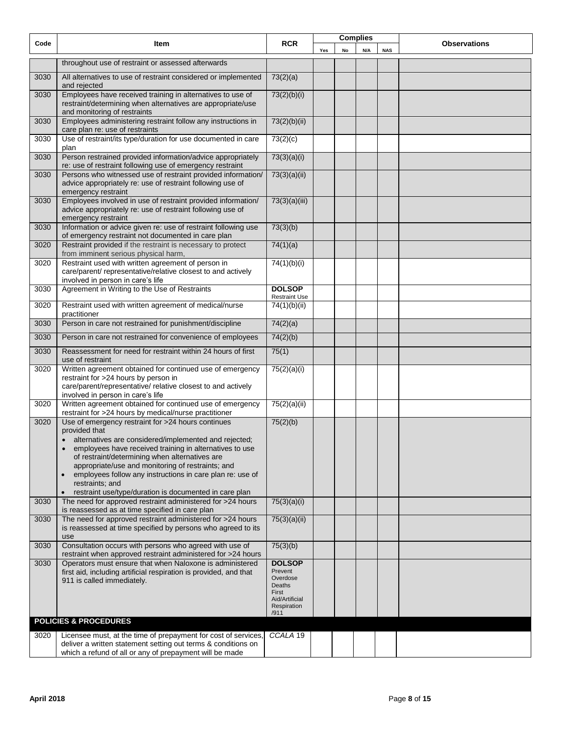| Code | Item                                                                                                                                                                                                                                                                                                                                                                                                                                                                            | <b>RCR</b>                                                                                       | <b>Complies</b> |    |     | <b>Observations</b> |  |
|------|---------------------------------------------------------------------------------------------------------------------------------------------------------------------------------------------------------------------------------------------------------------------------------------------------------------------------------------------------------------------------------------------------------------------------------------------------------------------------------|--------------------------------------------------------------------------------------------------|-----------------|----|-----|---------------------|--|
|      |                                                                                                                                                                                                                                                                                                                                                                                                                                                                                 |                                                                                                  | Yes             | No | N/A | <b>NAS</b>          |  |
|      | throughout use of restraint or assessed afterwards                                                                                                                                                                                                                                                                                                                                                                                                                              |                                                                                                  |                 |    |     |                     |  |
| 3030 | All alternatives to use of restraint considered or implemented<br>and rejected                                                                                                                                                                                                                                                                                                                                                                                                  | 73(2)(a)                                                                                         |                 |    |     |                     |  |
| 3030 | Employees have received training in alternatives to use of<br>restraint/determining when alternatives are appropriate/use<br>and monitoring of restraints                                                                                                                                                                                                                                                                                                                       | 73(2)(b)(i)                                                                                      |                 |    |     |                     |  |
| 3030 | Employees administering restraint follow any instructions in<br>care plan re: use of restraints                                                                                                                                                                                                                                                                                                                                                                                 | 73(2)(b)(ii)                                                                                     |                 |    |     |                     |  |
| 3030 | Use of restraint/its type/duration for use documented in care<br>plan                                                                                                                                                                                                                                                                                                                                                                                                           | 73(2)(c)                                                                                         |                 |    |     |                     |  |
| 3030 | Person restrained provided information/advice appropriately<br>re: use of restraint following use of emergency restraint                                                                                                                                                                                                                                                                                                                                                        | 73(3)(a)(i)                                                                                      |                 |    |     |                     |  |
| 3030 | Persons who witnessed use of restraint provided information/<br>advice appropriately re: use of restraint following use of<br>emergency restraint                                                                                                                                                                                                                                                                                                                               | 73(3)(a)(ii)                                                                                     |                 |    |     |                     |  |
| 3030 | Employees involved in use of restraint provided information/<br>advice appropriately re: use of restraint following use of<br>emergency restraint                                                                                                                                                                                                                                                                                                                               | 73(3)(a)(iii)                                                                                    |                 |    |     |                     |  |
| 3030 | Information or advice given re: use of restraint following use<br>of emergency restraint not documented in care plan                                                                                                                                                                                                                                                                                                                                                            | 73(3)(b)                                                                                         |                 |    |     |                     |  |
| 3020 | Restraint provided if the restraint is necessary to protect<br>from imminent serious physical harm,                                                                                                                                                                                                                                                                                                                                                                             | 74(1)(a)                                                                                         |                 |    |     |                     |  |
| 3020 | Restraint used with written agreement of person in<br>care/parent/ representative/relative closest to and actively<br>involved in person in care's life                                                                                                                                                                                                                                                                                                                         | 74(1)(b)(i)                                                                                      |                 |    |     |                     |  |
| 3030 | Agreement in Writing to the Use of Restraints                                                                                                                                                                                                                                                                                                                                                                                                                                   | <b>DOLSOP</b><br><b>Restraint Use</b>                                                            |                 |    |     |                     |  |
| 3020 | Restraint used with written agreement of medical/nurse<br>practitioner                                                                                                                                                                                                                                                                                                                                                                                                          | 74(1)(b)(ii)                                                                                     |                 |    |     |                     |  |
| 3030 | Person in care not restrained for punishment/discipline                                                                                                                                                                                                                                                                                                                                                                                                                         | 74(2)(a)                                                                                         |                 |    |     |                     |  |
| 3030 | Person in care not restrained for convenience of employees                                                                                                                                                                                                                                                                                                                                                                                                                      | 74(2)(b)                                                                                         |                 |    |     |                     |  |
| 3030 | Reassessment for need for restraint within 24 hours of first<br>use of restraint                                                                                                                                                                                                                                                                                                                                                                                                | 75(1)                                                                                            |                 |    |     |                     |  |
| 3020 | Written agreement obtained for continued use of emergency<br>restraint for >24 hours by person in<br>care/parent/representative/ relative closest to and actively<br>involved in person in care's life                                                                                                                                                                                                                                                                          | 75(2)(a)(i)                                                                                      |                 |    |     |                     |  |
| 3020 | Written agreement obtained for continued use of emergency<br>restraint for >24 hours by medical/nurse practitioner                                                                                                                                                                                                                                                                                                                                                              | 75(2)(a)(ii)                                                                                     |                 |    |     |                     |  |
| 3020 | Use of emergency restraint for >24 hours continues<br>provided that<br>alternatives are considered/implemented and rejected;<br>$\bullet$<br>employees have received training in alternatives to use<br>of restraint/determining when alternatives are<br>appropriate/use and monitoring of restraints; and<br>employees follow any instructions in care plan re: use of<br>$\bullet$<br>restraints; and<br>restraint use/type/duration is documented in care plan<br>$\bullet$ | 75(2)(b)                                                                                         |                 |    |     |                     |  |
| 3030 | The need for approved restraint administered for >24 hours<br>is reassessed as at time specified in care plan                                                                                                                                                                                                                                                                                                                                                                   | 75(3)(a)(i)                                                                                      |                 |    |     |                     |  |
| 3030 | The need for approved restraint administered for >24 hours<br>is reassessed at time specified by persons who agreed to its<br>use                                                                                                                                                                                                                                                                                                                                               | 75(3)(a)(ii)                                                                                     |                 |    |     |                     |  |
| 3030 | Consultation occurs with persons who agreed with use of<br>restraint when approved restraint administered for >24 hours                                                                                                                                                                                                                                                                                                                                                         | 75(3)(b)                                                                                         |                 |    |     |                     |  |
| 3030 | Operators must ensure that when Naloxone is administered<br>first aid, including artificial respiration is provided, and that<br>911 is called immediately.                                                                                                                                                                                                                                                                                                                     | <b>DOLSOP</b><br>Prevent<br>Overdose<br>Deaths<br>First<br>Aid/Artificial<br>Respiration<br>/911 |                 |    |     |                     |  |
|      | <b>POLICIES &amp; PROCEDURES</b>                                                                                                                                                                                                                                                                                                                                                                                                                                                |                                                                                                  |                 |    |     |                     |  |
| 3020 | Licensee must, at the time of prepayment for cost of services,<br>deliver a written statement setting out terms & conditions on<br>which a refund of all or any of prepayment will be made                                                                                                                                                                                                                                                                                      | CCALA 19                                                                                         |                 |    |     |                     |  |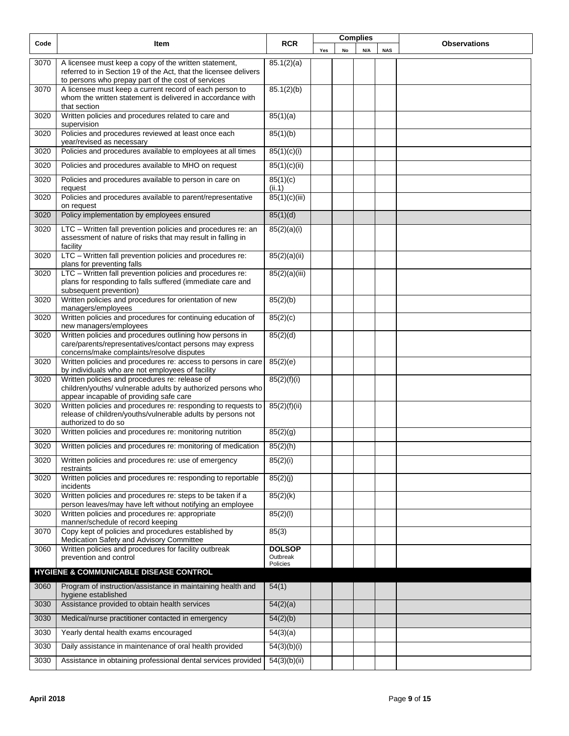| Code | Item                                                                                                                                                                            | <b>RCR</b>                |     |    | <b>Complies</b> |            |  | <b>Observations</b> |
|------|---------------------------------------------------------------------------------------------------------------------------------------------------------------------------------|---------------------------|-----|----|-----------------|------------|--|---------------------|
|      |                                                                                                                                                                                 |                           | Yes | No | N/A             | <b>NAS</b> |  |                     |
| 3070 | A licensee must keep a copy of the written statement,<br>referred to in Section 19 of the Act, that the licensee delivers<br>to persons who prepay part of the cost of services | 85.1(2)(a)                |     |    |                 |            |  |                     |
| 3070 | A licensee must keep a current record of each person to<br>whom the written statement is delivered in accordance with<br>that section                                           | 85.1(2)(b)                |     |    |                 |            |  |                     |
| 3020 | Written policies and procedures related to care and<br>supervision                                                                                                              | 85(1)(a)                  |     |    |                 |            |  |                     |
| 3020 | Policies and procedures reviewed at least once each<br>year/revised as necessary                                                                                                | 85(1)(b)                  |     |    |                 |            |  |                     |
| 3020 | Policies and procedures available to employees at all times                                                                                                                     | 85(1)(c)(i)               |     |    |                 |            |  |                     |
| 3020 | Policies and procedures available to MHO on request                                                                                                                             | 85(1)(c)(ii)              |     |    |                 |            |  |                     |
| 3020 | Policies and procedures available to person in care on<br>request                                                                                                               | 85(1)(c)<br>(ii.1)        |     |    |                 |            |  |                     |
| 3020 | Policies and procedures available to parent/representative<br>on request                                                                                                        | 85(1)(c)(iii)             |     |    |                 |            |  |                     |
| 3020 | Policy implementation by employees ensured                                                                                                                                      | 85(1)(d)                  |     |    |                 |            |  |                     |
| 3020 | LTC - Written fall prevention policies and procedures re: an<br>assessment of nature of risks that may result in falling in<br>facility                                         | 85(2)(a)(i)               |     |    |                 |            |  |                     |
| 3020 | LTC - Written fall prevention policies and procedures re:<br>plans for preventing falls                                                                                         | 85(2)(a)(ii)              |     |    |                 |            |  |                     |
| 3020 | LTC - Written fall prevention policies and procedures re:<br>plans for responding to falls suffered (immediate care and<br>subsequent prevention)                               | 85(2)(a)(iii)             |     |    |                 |            |  |                     |
| 3020 | Written policies and procedures for orientation of new<br>managers/employees                                                                                                    | 85(2)(b)                  |     |    |                 |            |  |                     |
| 3020 | Written policies and procedures for continuing education of<br>new managers/employees                                                                                           | 85(2)(c)                  |     |    |                 |            |  |                     |
| 3020 | Written policies and procedures outlining how persons in<br>care/parents/representatives/contact persons may express<br>concerns/make complaints/resolve disputes               | 85(2)(d)                  |     |    |                 |            |  |                     |
| 3020 | Written policies and procedures re: access to persons in care<br>by individuals who are not employees of facility                                                               | 85(2)(e)                  |     |    |                 |            |  |                     |
| 3020 | Written policies and procedures re: release of<br>children/youths/ vulnerable adults by authorized persons who<br>appear incapable of providing safe care                       | 85(2)(f)(i)               |     |    |                 |            |  |                     |
| 3020 | Written policies and procedures re: responding to requests to<br>release of children/youths/vulnerable adults by persons not<br>authorized to do so                             | 85(2)(f)(ii)              |     |    |                 |            |  |                     |
| 3020 | Written policies and procedures re: monitoring nutrition                                                                                                                        | 85(2)(g)                  |     |    |                 |            |  |                     |
| 3020 | Written policies and procedures re: monitoring of medication                                                                                                                    | 85(2)(h)                  |     |    |                 |            |  |                     |
| 3020 | Written policies and procedures re: use of emergency<br>restraints                                                                                                              | 85(2)(i)                  |     |    |                 |            |  |                     |
| 3020 | Written policies and procedures re: responding to reportable<br>incidents                                                                                                       | 85(2)(j)                  |     |    |                 |            |  |                     |
| 3020 | Written policies and procedures re: steps to be taken if a<br>person leaves/may have left without notifying an employee                                                         | 85(2)(k)                  |     |    |                 |            |  |                     |
| 3020 | Written policies and procedures re: appropriate<br>manner/schedule of record keeping                                                                                            | 85(2)(1)                  |     |    |                 |            |  |                     |
| 3070 | Copy kept of policies and procedures established by<br>Medication Safety and Advisory Committee                                                                                 | 85(3)                     |     |    |                 |            |  |                     |
| 3060 | Written policies and procedures for facility outbreak<br>prevention and control                                                                                                 | <b>DOLSOP</b><br>Outbreak |     |    |                 |            |  |                     |
|      | HYGIENE & COMMUNICABLE DISEASE CONTROL                                                                                                                                          | Policies                  |     |    |                 |            |  |                     |
| 3060 | Program of instruction/assistance in maintaining health and                                                                                                                     | 54(1)                     |     |    |                 |            |  |                     |
| 3030 | hygiene established<br>Assistance provided to obtain health services                                                                                                            | 54(2)(a)                  |     |    |                 |            |  |                     |
| 3030 | Medical/nurse practitioner contacted in emergency                                                                                                                               | 54(2)(b)                  |     |    |                 |            |  |                     |
| 3030 | Yearly dental health exams encouraged                                                                                                                                           | 54(3)(a)                  |     |    |                 |            |  |                     |
| 3030 | Daily assistance in maintenance of oral health provided                                                                                                                         | 54(3)(b)(i)               |     |    |                 |            |  |                     |
| 3030 | Assistance in obtaining professional dental services provided                                                                                                                   | 54(3)(b)(ii)              |     |    |                 |            |  |                     |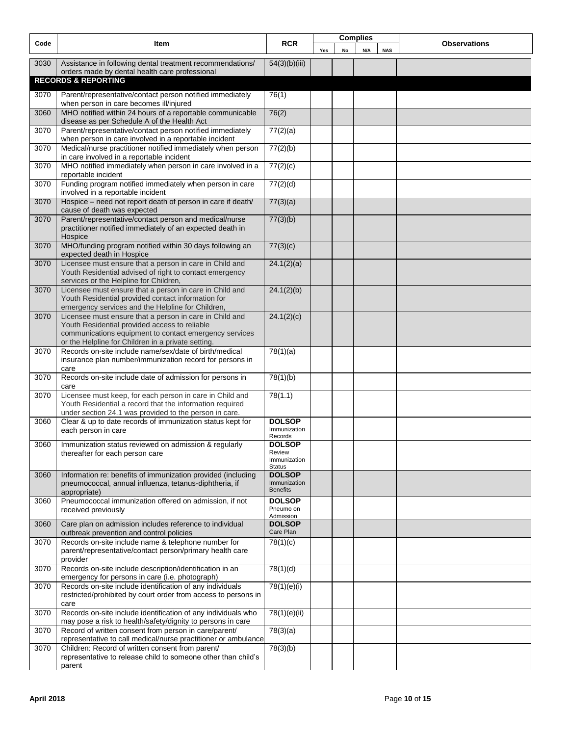| Code | Item                                                                                                                                                                                                                     | <b>RCR</b>                                               |     |    | <b>Complies</b> |            | <b>Observations</b> |
|------|--------------------------------------------------------------------------------------------------------------------------------------------------------------------------------------------------------------------------|----------------------------------------------------------|-----|----|-----------------|------------|---------------------|
|      |                                                                                                                                                                                                                          |                                                          | Yes | No | N/A             | <b>NAS</b> |                     |
| 3030 | Assistance in following dental treatment recommendations/<br>orders made by dental health care professional                                                                                                              | 54(3)(b)(iii)                                            |     |    |                 |            |                     |
|      | <b>RECORDS &amp; REPORTING</b>                                                                                                                                                                                           |                                                          |     |    |                 |            |                     |
| 3070 | Parent/representative/contact person notified immediately<br>when person in care becomes ill/injured                                                                                                                     | 76(1)                                                    |     |    |                 |            |                     |
| 3060 | MHO notified within 24 hours of a reportable communicable<br>disease as per Schedule A of the Health Act                                                                                                                 | 76(2)                                                    |     |    |                 |            |                     |
| 3070 | Parent/representative/contact person notified immediately<br>when person in care involved in a reportable incident                                                                                                       | 77(2)(a)                                                 |     |    |                 |            |                     |
| 3070 | Medical/nurse practitioner notified immediately when person<br>in care involved in a reportable incident                                                                                                                 | 77(2)(b)                                                 |     |    |                 |            |                     |
| 3070 | MHO notified immediately when person in care involved in a<br>reportable incident                                                                                                                                        | 77(2)(c)                                                 |     |    |                 |            |                     |
| 3070 | Funding program notified immediately when person in care<br>involved in a reportable incident                                                                                                                            | 77(2)(d)                                                 |     |    |                 |            |                     |
| 3070 | Hospice - need not report death of person in care if death/<br>cause of death was expected                                                                                                                               | 77(3)(a)                                                 |     |    |                 |            |                     |
| 3070 | Parent/representative/contact person and medical/nurse<br>practitioner notified immediately of an expected death in<br>Hospice                                                                                           | 77(3)(b)                                                 |     |    |                 |            |                     |
| 3070 | MHO/funding program notified within 30 days following an<br>expected death in Hospice                                                                                                                                    | 77(3)(c)                                                 |     |    |                 |            |                     |
| 3070 | Licensee must ensure that a person in care in Child and<br>Youth Residential advised of right to contact emergency<br>services or the Helpline for Children,                                                             | 24.1(2)(a)                                               |     |    |                 |            |                     |
| 3070 | Licensee must ensure that a person in care in Child and<br>Youth Residential provided contact information for<br>emergency services and the Helpline for Children,                                                       | 24.1(2)(b)                                               |     |    |                 |            |                     |
| 3070 | Licensee must ensure that a person in care in Child and<br>Youth Residential provided access to reliable<br>communications equipment to contact emergency services<br>or the Helpline for Children in a private setting. | 24.1(2)(c)                                               |     |    |                 |            |                     |
| 3070 | Records on-site include name/sex/date of birth/medical<br>insurance plan number/immunization record for persons in<br>care                                                                                               | 78(1)(a)                                                 |     |    |                 |            |                     |
| 3070 | Records on-site include date of admission for persons in<br>care                                                                                                                                                         | 78(1)(b)                                                 |     |    |                 |            |                     |
| 3070 | Licensee must keep, for each person in care in Child and<br>Youth Residential a record that the information required<br>under section 24.1 was provided to the person in care.                                           | 78(1.1)                                                  |     |    |                 |            |                     |
| 3060 | Clear & up to date records of immunization status kept for<br>each person in care                                                                                                                                        | <b>DOLSOP</b><br>Immunization<br>Records                 |     |    |                 |            |                     |
| 3060 | Immunization status reviewed on admission & regularly<br>thereafter for each person care                                                                                                                                 | <b>DOLSOP</b><br>Review<br>Immunization<br><b>Status</b> |     |    |                 |            |                     |
| 3060 | Information re: benefits of immunization provided (including<br>pneumococcal, annual influenza, tetanus-diphtheria, if<br>appropriate)                                                                                   | <b>DOLSOP</b><br>Immunization<br><b>Benefits</b>         |     |    |                 |            |                     |
| 3060 | Pneumococcal immunization offered on admission, if not<br>received previously                                                                                                                                            | <b>DOLSOP</b><br>Pneumo on<br>Admission                  |     |    |                 |            |                     |
| 3060 | Care plan on admission includes reference to individual<br>outbreak prevention and control policies                                                                                                                      | <b>DOLSOP</b><br>Care Plan                               |     |    |                 |            |                     |
| 3070 | Records on-site include name & telephone number for<br>parent/representative/contact person/primary health care<br>provider                                                                                              | 78(1)(c)                                                 |     |    |                 |            |                     |
| 3070 | Records on-site include description/identification in an<br>emergency for persons in care (i.e. photograph)                                                                                                              | 78(1)(d)                                                 |     |    |                 |            |                     |
| 3070 | Records on-site include identification of any individuals<br>restricted/prohibited by court order from access to persons in<br>care                                                                                      | 78(1)(e)(i)                                              |     |    |                 |            |                     |
| 3070 | Records on-site include identification of any individuals who<br>may pose a risk to health/safety/dignity to persons in care                                                                                             | 78(1)(e)(ii)                                             |     |    |                 |            |                     |
| 3070 | Record of written consent from person in care/parent/<br>representative to call medical/nurse practitioner or ambulance                                                                                                  | 78(3)(a)                                                 |     |    |                 |            |                     |
| 3070 | Children: Record of written consent from parent/<br>representative to release child to someone other than child's<br>parent                                                                                              | 78(3)(b)                                                 |     |    |                 |            |                     |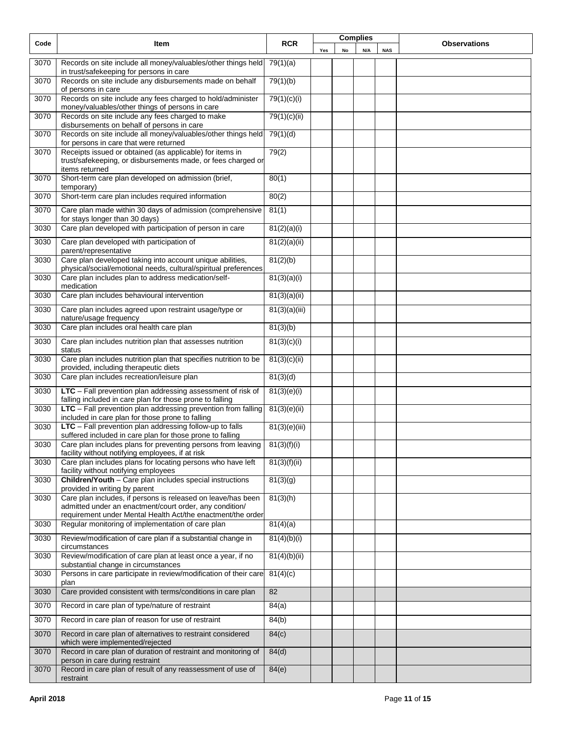|                   |                                                                                                                                            | <b>RCR</b>    |     |    | <b>Complies</b> |            | <b>Observations</b> |
|-------------------|--------------------------------------------------------------------------------------------------------------------------------------------|---------------|-----|----|-----------------|------------|---------------------|
| Code              | Item                                                                                                                                       |               | Yes | No | N/A             | <b>NAS</b> |                     |
| 3070              | Records on site include all money/valuables/other things held<br>in trust/safekeeping for persons in care                                  | 79(1)(a)      |     |    |                 |            |                     |
| 3070              | Records on site include any disbursements made on behalf<br>of persons in care                                                             | 79(1)(b)      |     |    |                 |            |                     |
| 3070              | Records on site include any fees charged to hold/administer<br>money/valuables/other things of persons in care                             | 79(1)(c)(i)   |     |    |                 |            |                     |
| 3070              | Records on site include any fees charged to make<br>disbursements on behalf of persons in care                                             | 79(1)(c)(ii)  |     |    |                 |            |                     |
| 3070              | Records on site include all money/valuables/other things held<br>for persons in care that were returned                                    | 79(1)(d)      |     |    |                 |            |                     |
| 3070              | Receipts issued or obtained (as applicable) for items in<br>trust/safekeeping, or disbursements made, or fees charged or<br>items returned | 79(2)         |     |    |                 |            |                     |
| 3070              | Short-term care plan developed on admission (brief,<br>temporary)                                                                          | 80(1)         |     |    |                 |            |                     |
| 3070              | Short-term care plan includes required information                                                                                         | 80(2)         |     |    |                 |            |                     |
| 3070              | Care plan made within 30 days of admission (comprehensive<br>for stays longer than 30 days)                                                | 81(1)         |     |    |                 |            |                     |
| 3030              | Care plan developed with participation of person in care                                                                                   | 81(2)(a)(i)   |     |    |                 |            |                     |
| 3030              | Care plan developed with participation of<br>parent/representative                                                                         | 81(2)(a)(ii)  |     |    |                 |            |                     |
| 3030              | Care plan developed taking into account unique abilities,<br>physical/social/emotional needs, cultural/spiritual preferences               | 81(2)(b)      |     |    |                 |            |                     |
| 3030              | Care plan includes plan to address medication/self-<br>medication                                                                          | 81(3)(a)(i)   |     |    |                 |            |                     |
| 3030              | Care plan includes behavioural intervention                                                                                                | 81(3)(a)(ii)  |     |    |                 |            |                     |
| 3030              | Care plan includes agreed upon restraint usage/type or<br>nature/usage frequency                                                           | 81(3)(a)(iii) |     |    |                 |            |                     |
| 3030              | Care plan includes oral health care plan                                                                                                   | 81(3)(b)      |     |    |                 |            |                     |
| 3030              | Care plan includes nutrition plan that assesses nutrition<br>status                                                                        | 81(3)(c)(i)   |     |    |                 |            |                     |
| 3030              | Care plan includes nutrition plan that specifies nutrition to be<br>provided, including therapeutic diets                                  | 81(3)(c)(ii)  |     |    |                 |            |                     |
| 3030              | Care plan includes recreation/leisure plan                                                                                                 | 81(3)(d)      |     |    |                 |            |                     |
| 3030              | LTC - Fall prevention plan addressing assessment of risk of<br>falling included in care plan for those prone to falling                    | 81(3)(e)(i)   |     |    |                 |            |                     |
| 3030              | LTC - Fall prevention plan addressing prevention from falling<br>included in care plan for those prone to falling                          | 81(3)(e)(ii)  |     |    |                 |            |                     |
| 3030              | LTC - Fall prevention plan addressing follow-up to falls<br>suffered included in care plan for those prone to falling                      | 81(3)(e)(iii) |     |    |                 |            |                     |
| 3030              | Care plan includes plans for preventing persons from leaving<br>facility without notifying employees, if at risk                           | 81(3)(f)(i)   |     |    |                 |            |                     |
| $30\overline{30}$ | Care plan includes plans for locating persons who have left<br>facility without notifying employees                                        | 81(3)(f)(ii)  |     |    |                 |            |                     |
| 3030              | Children/Youth - Care plan includes special instructions<br>provided in writing by parent                                                  | 81(3)(g)      |     |    |                 |            |                     |
| 3030              | Care plan includes, if persons is released on leave/has been<br>admitted under an enactment/court order, any condition/                    | 81(3)(h)      |     |    |                 |            |                     |
| 3030              | requirement under Mental Health Act/the enactment/the order<br>Regular monitoring of implementation of care plan                           | 81(4)(a)      |     |    |                 |            |                     |
| 3030              | Review/modification of care plan if a substantial change in                                                                                | 81(4)(b)(i)   |     |    |                 |            |                     |
| 3030              | circumstances<br>Review/modification of care plan at least once a year, if no                                                              | 81(4)(b)(ii)  |     |    |                 |            |                     |
| 3030              | substantial change in circumstances<br>Persons in care participate in review/modification of their care                                    | 81(4)(c)      |     |    |                 |            |                     |
| 3030              | plan<br>Care provided consistent with terms/conditions in care plan                                                                        | 82            |     |    |                 |            |                     |
| 3070              | Record in care plan of type/nature of restraint                                                                                            | 84(a)         |     |    |                 |            |                     |
| 3070              | Record in care plan of reason for use of restraint                                                                                         | 84(b)         |     |    |                 |            |                     |
| 3070              | Record in care plan of alternatives to restraint considered<br>which were implemented/rejected                                             | 84(c)         |     |    |                 |            |                     |
| 3070              | Record in care plan of duration of restraint and monitoring of<br>person in care during restraint                                          | 84(d)         |     |    |                 |            |                     |
| 3070              | Record in care plan of result of any reassessment of use of<br>restraint                                                                   | 84(e)         |     |    |                 |            |                     |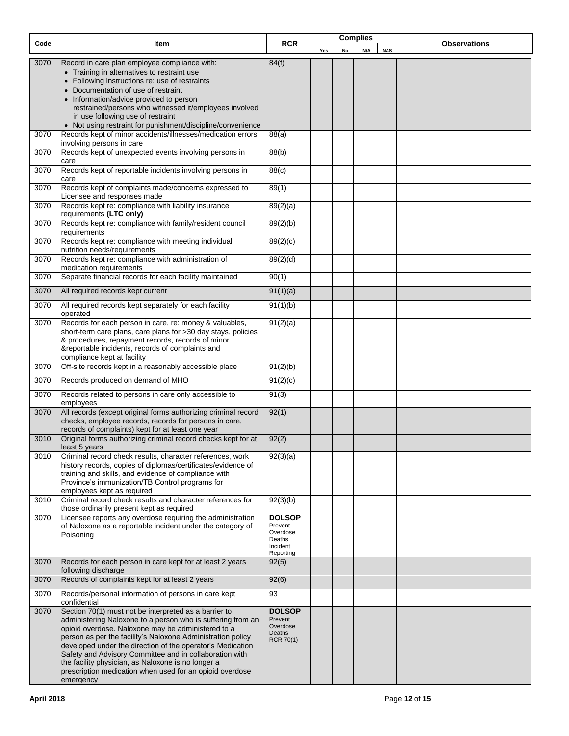| Code | Item                                                                                                                     | <b>RCR</b>               |     |    | <b>Complies</b> |            | <b>Observations</b> |
|------|--------------------------------------------------------------------------------------------------------------------------|--------------------------|-----|----|-----------------|------------|---------------------|
|      |                                                                                                                          |                          | Yes | No | N/A             | <b>NAS</b> |                     |
| 3070 | Record in care plan employee compliance with:                                                                            | 84(f)                    |     |    |                 |            |                     |
|      | • Training in alternatives to restraint use                                                                              |                          |     |    |                 |            |                     |
|      | • Following instructions re: use of restraints                                                                           |                          |     |    |                 |            |                     |
|      | • Documentation of use of restraint                                                                                      |                          |     |    |                 |            |                     |
|      | • Information/advice provided to person<br>restrained/persons who witnessed it/employees involved                        |                          |     |    |                 |            |                     |
|      | in use following use of restraint                                                                                        |                          |     |    |                 |            |                     |
|      | • Not using restraint for punishment/discipline/convenience                                                              |                          |     |    |                 |            |                     |
| 3070 | Records kept of minor accidents/illnesses/medication errors                                                              | 88(a)                    |     |    |                 |            |                     |
|      | involving persons in care                                                                                                |                          |     |    |                 |            |                     |
| 3070 | Records kept of unexpected events involving persons in                                                                   | 88(b)                    |     |    |                 |            |                     |
| 3070 | care<br>Records kept of reportable incidents involving persons in                                                        | 88(c)                    |     |    |                 |            |                     |
|      | care                                                                                                                     |                          |     |    |                 |            |                     |
| 3070 | Records kept of complaints made/concerns expressed to                                                                    | 89(1)                    |     |    |                 |            |                     |
|      | Licensee and responses made                                                                                              |                          |     |    |                 |            |                     |
| 3070 | Records kept re: compliance with liability insurance<br>requirements (LTC only)                                          | 89(2)(a)                 |     |    |                 |            |                     |
| 3070 | Records kept re: compliance with family/resident council                                                                 | 89(2)(b)                 |     |    |                 |            |                     |
|      | requirements                                                                                                             |                          |     |    |                 |            |                     |
| 3070 | Records kept re: compliance with meeting individual                                                                      | 89(2)(c)                 |     |    |                 |            |                     |
|      | nutrition needs/requirements                                                                                             |                          |     |    |                 |            |                     |
| 3070 | Records kept re: compliance with administration of<br>medication requirements                                            | 89(2)(d)                 |     |    |                 |            |                     |
| 3070 | Separate financial records for each facility maintained                                                                  | 90(1)                    |     |    |                 |            |                     |
|      |                                                                                                                          |                          |     |    |                 |            |                     |
| 3070 | All required records kept current                                                                                        | 91(1)(a)                 |     |    |                 |            |                     |
| 3070 | All required records kept separately for each facility                                                                   | 91(1)(b)                 |     |    |                 |            |                     |
|      | operated                                                                                                                 |                          |     |    |                 |            |                     |
| 3070 | Records for each person in care, re: money & valuables,<br>short-term care plans, care plans for >30 day stays, policies | 91(2)(a)                 |     |    |                 |            |                     |
|      | & procedures, repayment records, records of minor                                                                        |                          |     |    |                 |            |                     |
|      | &reportable incidents, records of complaints and                                                                         |                          |     |    |                 |            |                     |
|      | compliance kept at facility                                                                                              |                          |     |    |                 |            |                     |
| 3070 | Off-site records kept in a reasonably accessible place                                                                   | 91(2)(b)                 |     |    |                 |            |                     |
| 3070 | Records produced on demand of MHO                                                                                        | 91(2)(c)                 |     |    |                 |            |                     |
| 3070 | Records related to persons in care only accessible to                                                                    | 91(3)                    |     |    |                 |            |                     |
|      | employees                                                                                                                |                          |     |    |                 |            |                     |
| 3070 | All records (except original forms authorizing criminal record<br>checks, employee records, records for persons in care, | $\overline{92(1)}$       |     |    |                 |            |                     |
|      | records of complaints) kept for at least one year                                                                        |                          |     |    |                 |            |                     |
| 3010 | Original forms authorizing criminal record checks kept for at                                                            | 92(2)                    |     |    |                 |            |                     |
|      | least 5 years                                                                                                            |                          |     |    |                 |            |                     |
| 3010 | Criminal record check results, character references, work                                                                | 92(3)(a)                 |     |    |                 |            |                     |
|      | history records, copies of diplomas/certificates/evidence of<br>training and skills, and evidence of compliance with     |                          |     |    |                 |            |                     |
|      | Province's immunization/TB Control programs for                                                                          |                          |     |    |                 |            |                     |
|      | employees kept as required                                                                                               |                          |     |    |                 |            |                     |
| 3010 | Criminal record check results and character references for                                                               | 92(3)(b)                 |     |    |                 |            |                     |
| 3070 | those ordinarily present kept as required<br>Licensee reports any overdose requiring the administration                  | <b>DOLSOP</b>            |     |    |                 |            |                     |
|      | of Naloxone as a reportable incident under the category of                                                               | Prevent                  |     |    |                 |            |                     |
|      | Poisoning                                                                                                                | Overdose<br>Deaths       |     |    |                 |            |                     |
|      |                                                                                                                          | Incident                 |     |    |                 |            |                     |
| 3070 |                                                                                                                          | Reporting                |     |    |                 |            |                     |
|      | Records for each person in care kept for at least 2 years<br>following discharge                                         | 92(5)                    |     |    |                 |            |                     |
| 3070 | Records of complaints kept for at least 2 years                                                                          | 92(6)                    |     |    |                 |            |                     |
| 3070 | Records/personal information of persons in care kept                                                                     | 93                       |     |    |                 |            |                     |
|      | confidential                                                                                                             |                          |     |    |                 |            |                     |
| 3070 | Section 70(1) must not be interpreted as a barrier to<br>administering Naloxone to a person who is suffering from an     | <b>DOLSOP</b><br>Prevent |     |    |                 |            |                     |
|      | opioid overdose. Naloxone may be administered to a                                                                       | Overdose                 |     |    |                 |            |                     |
|      | person as per the facility's Naloxone Administration policy                                                              | Deaths<br>RCR 70(1)      |     |    |                 |            |                     |
|      | developed under the direction of the operator's Medication                                                               |                          |     |    |                 |            |                     |
|      | Safety and Advisory Committee and in collaboration with<br>the facility physician, as Naloxone is no longer a            |                          |     |    |                 |            |                     |
|      | prescription medication when used for an opioid overdose                                                                 |                          |     |    |                 |            |                     |
|      | emergency                                                                                                                |                          |     |    |                 |            |                     |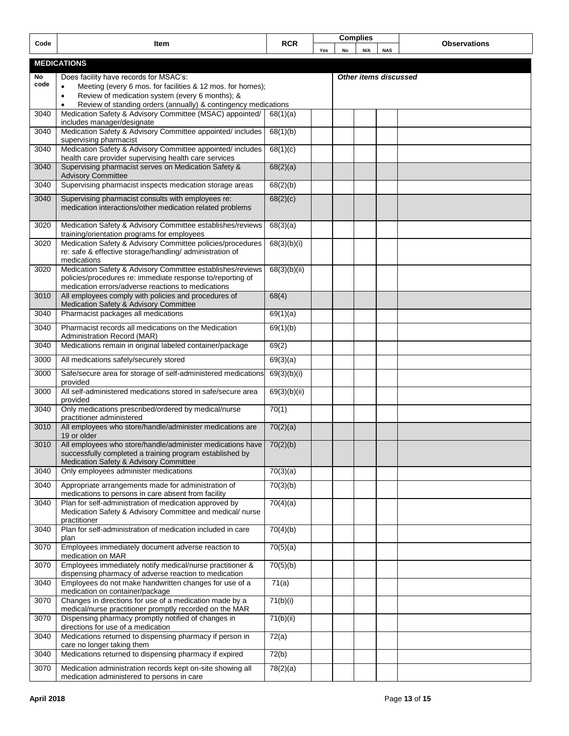| <b>RCR</b><br><b>Observations</b><br>Item<br>Code<br>N/A<br>No<br><b>NAS</b><br>Yes<br><b>MEDICATIONS</b><br>Does facility have records for MSAC's:<br>No<br>Other items discussed<br>code<br>Meeting (every 6 mos. for facilities & 12 mos. for homes);<br>$\bullet$<br>Review of medication system (every 6 months); &<br>$\bullet$<br>Review of standing orders (annually) & contingency medications<br>$\bullet$<br>Medication Safety & Advisory Committee (MSAC) appointed/<br>$68(1)(\overline{a})$<br>3040<br>includes manager/designate<br>Medication Safety & Advisory Committee appointed/ includes<br>68(1)(b)<br>3040<br>supervising pharmacist<br>Medication Safety & Advisory Committee appointed/ includes<br>68(1)(c)<br>3040<br>health care provider supervising health care services<br>Supervising pharmacist serves on Medication Safety &<br>68(2)(a)<br>3040<br><b>Advisory Committee</b><br>Supervising pharmacist inspects medication storage areas<br>68(2)(b)<br>3040<br>68(2)(c)<br>3040<br>Supervising pharmacist consults with employees re:<br>medication interactions/other medication related problems<br>Medication Safety & Advisory Committee establishes/reviews<br>68(3)(a)<br>3020<br>training/orientation programs for employees<br>Medication Safety & Advisory Committee policies/procedures<br>68(3)(b)(i)<br>3020<br>re: safe & effective storage/handling/ administration of<br>medications<br>Medication Safety & Advisory Committee establishes/reviews<br>68(3)(b)(ii)<br>3020<br>policies/procedures re: immediate response to/reporting of<br>medication errors/adverse reactions to medications |  |
|---------------------------------------------------------------------------------------------------------------------------------------------------------------------------------------------------------------------------------------------------------------------------------------------------------------------------------------------------------------------------------------------------------------------------------------------------------------------------------------------------------------------------------------------------------------------------------------------------------------------------------------------------------------------------------------------------------------------------------------------------------------------------------------------------------------------------------------------------------------------------------------------------------------------------------------------------------------------------------------------------------------------------------------------------------------------------------------------------------------------------------------------------------------------------------------------------------------------------------------------------------------------------------------------------------------------------------------------------------------------------------------------------------------------------------------------------------------------------------------------------------------------------------------------------------------------------------------------------------------------------------------------------|--|
|                                                                                                                                                                                                                                                                                                                                                                                                                                                                                                                                                                                                                                                                                                                                                                                                                                                                                                                                                                                                                                                                                                                                                                                                                                                                                                                                                                                                                                                                                                                                                                                                                                                   |  |
|                                                                                                                                                                                                                                                                                                                                                                                                                                                                                                                                                                                                                                                                                                                                                                                                                                                                                                                                                                                                                                                                                                                                                                                                                                                                                                                                                                                                                                                                                                                                                                                                                                                   |  |
|                                                                                                                                                                                                                                                                                                                                                                                                                                                                                                                                                                                                                                                                                                                                                                                                                                                                                                                                                                                                                                                                                                                                                                                                                                                                                                                                                                                                                                                                                                                                                                                                                                                   |  |
|                                                                                                                                                                                                                                                                                                                                                                                                                                                                                                                                                                                                                                                                                                                                                                                                                                                                                                                                                                                                                                                                                                                                                                                                                                                                                                                                                                                                                                                                                                                                                                                                                                                   |  |
|                                                                                                                                                                                                                                                                                                                                                                                                                                                                                                                                                                                                                                                                                                                                                                                                                                                                                                                                                                                                                                                                                                                                                                                                                                                                                                                                                                                                                                                                                                                                                                                                                                                   |  |
|                                                                                                                                                                                                                                                                                                                                                                                                                                                                                                                                                                                                                                                                                                                                                                                                                                                                                                                                                                                                                                                                                                                                                                                                                                                                                                                                                                                                                                                                                                                                                                                                                                                   |  |
|                                                                                                                                                                                                                                                                                                                                                                                                                                                                                                                                                                                                                                                                                                                                                                                                                                                                                                                                                                                                                                                                                                                                                                                                                                                                                                                                                                                                                                                                                                                                                                                                                                                   |  |
|                                                                                                                                                                                                                                                                                                                                                                                                                                                                                                                                                                                                                                                                                                                                                                                                                                                                                                                                                                                                                                                                                                                                                                                                                                                                                                                                                                                                                                                                                                                                                                                                                                                   |  |
|                                                                                                                                                                                                                                                                                                                                                                                                                                                                                                                                                                                                                                                                                                                                                                                                                                                                                                                                                                                                                                                                                                                                                                                                                                                                                                                                                                                                                                                                                                                                                                                                                                                   |  |
|                                                                                                                                                                                                                                                                                                                                                                                                                                                                                                                                                                                                                                                                                                                                                                                                                                                                                                                                                                                                                                                                                                                                                                                                                                                                                                                                                                                                                                                                                                                                                                                                                                                   |  |
|                                                                                                                                                                                                                                                                                                                                                                                                                                                                                                                                                                                                                                                                                                                                                                                                                                                                                                                                                                                                                                                                                                                                                                                                                                                                                                                                                                                                                                                                                                                                                                                                                                                   |  |
|                                                                                                                                                                                                                                                                                                                                                                                                                                                                                                                                                                                                                                                                                                                                                                                                                                                                                                                                                                                                                                                                                                                                                                                                                                                                                                                                                                                                                                                                                                                                                                                                                                                   |  |
|                                                                                                                                                                                                                                                                                                                                                                                                                                                                                                                                                                                                                                                                                                                                                                                                                                                                                                                                                                                                                                                                                                                                                                                                                                                                                                                                                                                                                                                                                                                                                                                                                                                   |  |
|                                                                                                                                                                                                                                                                                                                                                                                                                                                                                                                                                                                                                                                                                                                                                                                                                                                                                                                                                                                                                                                                                                                                                                                                                                                                                                                                                                                                                                                                                                                                                                                                                                                   |  |
|                                                                                                                                                                                                                                                                                                                                                                                                                                                                                                                                                                                                                                                                                                                                                                                                                                                                                                                                                                                                                                                                                                                                                                                                                                                                                                                                                                                                                                                                                                                                                                                                                                                   |  |
|                                                                                                                                                                                                                                                                                                                                                                                                                                                                                                                                                                                                                                                                                                                                                                                                                                                                                                                                                                                                                                                                                                                                                                                                                                                                                                                                                                                                                                                                                                                                                                                                                                                   |  |
| All employees comply with policies and procedures of<br>68(4)<br>3010<br>Medication Safety & Advisory Committee                                                                                                                                                                                                                                                                                                                                                                                                                                                                                                                                                                                                                                                                                                                                                                                                                                                                                                                                                                                                                                                                                                                                                                                                                                                                                                                                                                                                                                                                                                                                   |  |
| Pharmacist packages all medications<br>69(1)(a)<br>3040                                                                                                                                                                                                                                                                                                                                                                                                                                                                                                                                                                                                                                                                                                                                                                                                                                                                                                                                                                                                                                                                                                                                                                                                                                                                                                                                                                                                                                                                                                                                                                                           |  |
| Pharmacist records all medications on the Medication<br>3040<br>69(1)(b)<br>Administration Record (MAR)                                                                                                                                                                                                                                                                                                                                                                                                                                                                                                                                                                                                                                                                                                                                                                                                                                                                                                                                                                                                                                                                                                                                                                                                                                                                                                                                                                                                                                                                                                                                           |  |
| Medications remain in original labeled container/package<br>3040<br>69(2)                                                                                                                                                                                                                                                                                                                                                                                                                                                                                                                                                                                                                                                                                                                                                                                                                                                                                                                                                                                                                                                                                                                                                                                                                                                                                                                                                                                                                                                                                                                                                                         |  |
| 69(3)(a)<br>3000<br>All medications safely/securely stored                                                                                                                                                                                                                                                                                                                                                                                                                                                                                                                                                                                                                                                                                                                                                                                                                                                                                                                                                                                                                                                                                                                                                                                                                                                                                                                                                                                                                                                                                                                                                                                        |  |
| 3000<br>Safe/secure area for storage of self-administered medications<br>69(3)(b)(i)<br>provided                                                                                                                                                                                                                                                                                                                                                                                                                                                                                                                                                                                                                                                                                                                                                                                                                                                                                                                                                                                                                                                                                                                                                                                                                                                                                                                                                                                                                                                                                                                                                  |  |
| All self-administered medications stored in safe/secure area<br>69(3)(b)(ii)<br>3000<br>provided                                                                                                                                                                                                                                                                                                                                                                                                                                                                                                                                                                                                                                                                                                                                                                                                                                                                                                                                                                                                                                                                                                                                                                                                                                                                                                                                                                                                                                                                                                                                                  |  |
| Only medications prescribed/ordered by medical/nurse<br>70(1)<br>3040<br>practitioner administered                                                                                                                                                                                                                                                                                                                                                                                                                                                                                                                                                                                                                                                                                                                                                                                                                                                                                                                                                                                                                                                                                                                                                                                                                                                                                                                                                                                                                                                                                                                                                |  |
| All employees who store/handle/administer medications are<br>70(2)(a)<br>3010<br>19 or older                                                                                                                                                                                                                                                                                                                                                                                                                                                                                                                                                                                                                                                                                                                                                                                                                                                                                                                                                                                                                                                                                                                                                                                                                                                                                                                                                                                                                                                                                                                                                      |  |
| All employees who store/handle/administer medications have<br>70(2)(b)<br>3010<br>successfully completed a training program established by<br>Medication Safety & Advisory Committee                                                                                                                                                                                                                                                                                                                                                                                                                                                                                                                                                                                                                                                                                                                                                                                                                                                                                                                                                                                                                                                                                                                                                                                                                                                                                                                                                                                                                                                              |  |
| 3040<br>Only employees administer medications<br>70(3)(a)                                                                                                                                                                                                                                                                                                                                                                                                                                                                                                                                                                                                                                                                                                                                                                                                                                                                                                                                                                                                                                                                                                                                                                                                                                                                                                                                                                                                                                                                                                                                                                                         |  |
| 70(3)(b)<br>3040<br>Appropriate arrangements made for administration of<br>medications to persons in care absent from facility                                                                                                                                                                                                                                                                                                                                                                                                                                                                                                                                                                                                                                                                                                                                                                                                                                                                                                                                                                                                                                                                                                                                                                                                                                                                                                                                                                                                                                                                                                                    |  |
| Plan for self-administration of medication approved by<br>70(4)(a)<br>3040<br>Medication Safety & Advisory Committee and medical/nurse<br>practitioner                                                                                                                                                                                                                                                                                                                                                                                                                                                                                                                                                                                                                                                                                                                                                                                                                                                                                                                                                                                                                                                                                                                                                                                                                                                                                                                                                                                                                                                                                            |  |
| Plan for self-administration of medication included in care<br>70(4)(b)<br>3040<br>plan                                                                                                                                                                                                                                                                                                                                                                                                                                                                                                                                                                                                                                                                                                                                                                                                                                                                                                                                                                                                                                                                                                                                                                                                                                                                                                                                                                                                                                                                                                                                                           |  |
| Employees immediately document adverse reaction to<br>70(5)(a)<br>3070<br>medication on MAR                                                                                                                                                                                                                                                                                                                                                                                                                                                                                                                                                                                                                                                                                                                                                                                                                                                                                                                                                                                                                                                                                                                                                                                                                                                                                                                                                                                                                                                                                                                                                       |  |
| Employees immediately notify medical/nurse practitioner &<br>70(5)(b)<br>3070<br>dispensing pharmacy of adverse reaction to medication                                                                                                                                                                                                                                                                                                                                                                                                                                                                                                                                                                                                                                                                                                                                                                                                                                                                                                                                                                                                                                                                                                                                                                                                                                                                                                                                                                                                                                                                                                            |  |
| 3040<br>Employees do not make handwritten changes for use of a<br>71(a)<br>medication on container/package                                                                                                                                                                                                                                                                                                                                                                                                                                                                                                                                                                                                                                                                                                                                                                                                                                                                                                                                                                                                                                                                                                                                                                                                                                                                                                                                                                                                                                                                                                                                        |  |
| Changes in directions for use of a medication made by a<br>71(b)(i)<br>3070<br>medical/nurse practitioner promptly recorded on the MAR                                                                                                                                                                                                                                                                                                                                                                                                                                                                                                                                                                                                                                                                                                                                                                                                                                                                                                                                                                                                                                                                                                                                                                                                                                                                                                                                                                                                                                                                                                            |  |
| Dispensing pharmacy promptly notified of changes in<br>71(b)(ii)<br>3070<br>directions for use of a medication                                                                                                                                                                                                                                                                                                                                                                                                                                                                                                                                                                                                                                                                                                                                                                                                                                                                                                                                                                                                                                                                                                                                                                                                                                                                                                                                                                                                                                                                                                                                    |  |
| Medications returned to dispensing pharmacy if person in<br>72(a)<br>3040                                                                                                                                                                                                                                                                                                                                                                                                                                                                                                                                                                                                                                                                                                                                                                                                                                                                                                                                                                                                                                                                                                                                                                                                                                                                                                                                                                                                                                                                                                                                                                         |  |
| care no longer taking them<br>Medications returned to dispensing pharmacy if expired<br>72(b)<br>3040                                                                                                                                                                                                                                                                                                                                                                                                                                                                                                                                                                                                                                                                                                                                                                                                                                                                                                                                                                                                                                                                                                                                                                                                                                                                                                                                                                                                                                                                                                                                             |  |
| Medication administration records kept on-site showing all<br>78(2)(a)<br>3070<br>medication administered to persons in care                                                                                                                                                                                                                                                                                                                                                                                                                                                                                                                                                                                                                                                                                                                                                                                                                                                                                                                                                                                                                                                                                                                                                                                                                                                                                                                                                                                                                                                                                                                      |  |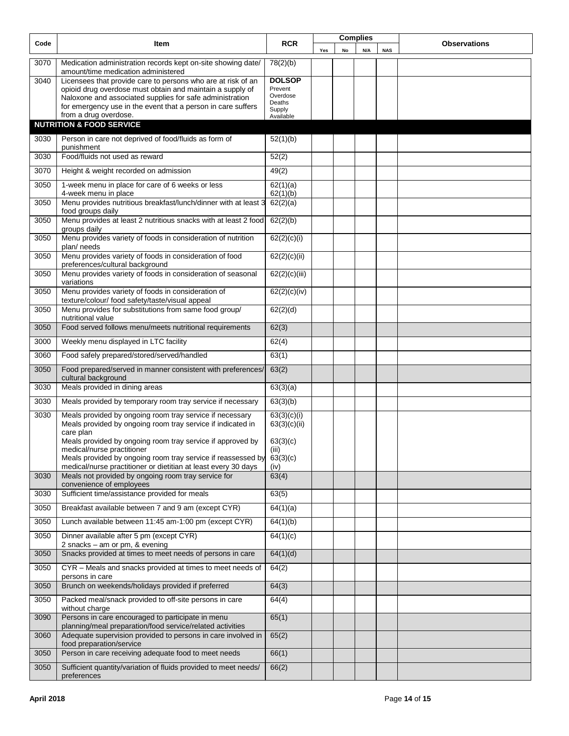| Code         | Item                                                                                                                                                                                                                                                                                             | <b>RCR</b>                                                   |     |    | <b>Complies</b> |            | <b>Observations</b> |
|--------------|--------------------------------------------------------------------------------------------------------------------------------------------------------------------------------------------------------------------------------------------------------------------------------------------------|--------------------------------------------------------------|-----|----|-----------------|------------|---------------------|
|              |                                                                                                                                                                                                                                                                                                  |                                                              | Yes | No | N/A             | <b>NAS</b> |                     |
| 3070         | Medication administration records kept on-site showing date/<br>amount/time medication administered                                                                                                                                                                                              | 78(2)(b)                                                     |     |    |                 |            |                     |
| 3040         | Licensees that provide care to persons who are at risk of an                                                                                                                                                                                                                                     | <b>DOLSOP</b>                                                |     |    |                 |            |                     |
|              | opioid drug overdose must obtain and maintain a supply of                                                                                                                                                                                                                                        | Prevent<br>Overdose                                          |     |    |                 |            |                     |
|              | Naloxone and associated supplies for safe administration<br>for emergency use in the event that a person in care suffers                                                                                                                                                                         | Deaths                                                       |     |    |                 |            |                     |
|              | from a drug overdose.                                                                                                                                                                                                                                                                            | Supply<br>Available                                          |     |    |                 |            |                     |
|              | <b>NUTRITION &amp; FOOD SERVICE</b>                                                                                                                                                                                                                                                              |                                                              |     |    |                 |            |                     |
| 3030         | Person in care not deprived of food/fluids as form of<br>punishment                                                                                                                                                                                                                              | 52(1)(b)                                                     |     |    |                 |            |                     |
| 3030         | Food/fluids not used as reward                                                                                                                                                                                                                                                                   | 52(2)                                                        |     |    |                 |            |                     |
| 3070         | Height & weight recorded on admission                                                                                                                                                                                                                                                            | 49(2)                                                        |     |    |                 |            |                     |
| 3050         | 1-week menu in place for care of 6 weeks or less<br>4-week menu in place                                                                                                                                                                                                                         | 62(1)(a)<br>62(1)(b)                                         |     |    |                 |            |                     |
| 3050         | Menu provides nutritious breakfast/lunch/dinner with at least 3<br>food groups daily                                                                                                                                                                                                             | 62(2)(a)                                                     |     |    |                 |            |                     |
| 3050         | Menu provides at least 2 nutritious snacks with at least 2 food<br>groups daily                                                                                                                                                                                                                  | 62(2)(b)                                                     |     |    |                 |            |                     |
| 3050         | Menu provides variety of foods in consideration of nutrition<br>plan/ needs                                                                                                                                                                                                                      | 62(2)(c)(i)                                                  |     |    |                 |            |                     |
| 3050         | Menu provides variety of foods in consideration of food<br>preferences/cultural background                                                                                                                                                                                                       | 62(2)(c)(ii)                                                 |     |    |                 |            |                     |
| 3050         | Menu provides variety of foods in consideration of seasonal<br>variations                                                                                                                                                                                                                        | 62(2)(c)(iii)                                                |     |    |                 |            |                     |
| 3050         | Menu provides variety of foods in consideration of<br>texture/colour/ food safety/taste/visual appeal                                                                                                                                                                                            | 62(2)(c)(iv)                                                 |     |    |                 |            |                     |
| 3050         | Menu provides for substitutions from same food group/<br>nutritional value                                                                                                                                                                                                                       | 62(2)(d)                                                     |     |    |                 |            |                     |
| 3050         | Food served follows menu/meets nutritional requirements                                                                                                                                                                                                                                          | 62(3)                                                        |     |    |                 |            |                     |
| 3000         | Weekly menu displayed in LTC facility                                                                                                                                                                                                                                                            | 62(4)                                                        |     |    |                 |            |                     |
| 3060         | Food safely prepared/stored/served/handled                                                                                                                                                                                                                                                       | 63(1)                                                        |     |    |                 |            |                     |
| 3050         | Food prepared/served in manner consistent with preferences/<br>cultural background                                                                                                                                                                                                               | 63(2)                                                        |     |    |                 |            |                     |
| 3030         | Meals provided in dining areas                                                                                                                                                                                                                                                                   | 63(3)(a)                                                     |     |    |                 |            |                     |
| 3030         | Meals provided by temporary room tray service if necessary                                                                                                                                                                                                                                       | 63(3)(b)                                                     |     |    |                 |            |                     |
| 3030         | Meals provided by ongoing room tray service if necessary<br>Meals provided by ongoing room tray service if indicated in<br>care plan<br>Meals provided by ongoing room tray service if approved by<br>medical/nurse practitioner<br>Meals provided by ongoing room tray service if reassessed by | 63(3)(c)(i)<br>63(3)(c)(ii)<br>63(3)(c)<br>(iii)<br>63(3)(c) |     |    |                 |            |                     |
| 3030         | medical/nurse practitioner or dietitian at least every 30 days<br>Meals not provided by ongoing room tray service for                                                                                                                                                                            | (iv)<br>63(4)                                                |     |    |                 |            |                     |
|              | convenience of employees<br>Sufficient time/assistance provided for meals                                                                                                                                                                                                                        |                                                              |     |    |                 |            |                     |
| 3030         |                                                                                                                                                                                                                                                                                                  | 63(5)                                                        |     |    |                 |            |                     |
| 3050         | Breakfast available between 7 and 9 am (except CYR)                                                                                                                                                                                                                                              | 64(1)(a)                                                     |     |    |                 |            |                     |
| 3050<br>3050 | Lunch available between 11:45 am-1:00 pm (except CYR)<br>Dinner available after 5 pm (except CYR)                                                                                                                                                                                                | 64(1)(b)<br>64(1)(c)                                         |     |    |                 |            |                     |
|              | 2 snacks - am or pm, & evening                                                                                                                                                                                                                                                                   |                                                              |     |    |                 |            |                     |
| 3050         | Snacks provided at times to meet needs of persons in care                                                                                                                                                                                                                                        | 64(1)(d)                                                     |     |    |                 |            |                     |
| 3050         | CYR - Meals and snacks provided at times to meet needs of<br>persons in care                                                                                                                                                                                                                     | 64(2)                                                        |     |    |                 |            |                     |
| 3050         | Brunch on weekends/holidays provided if preferred                                                                                                                                                                                                                                                | 64(3)                                                        |     |    |                 |            |                     |
| 3050         | Packed meal/snack provided to off-site persons in care<br>without charge                                                                                                                                                                                                                         | 64(4)                                                        |     |    |                 |            |                     |
| 3090         | Persons in care encouraged to participate in menu<br>planning/meal preparation/food service/related activities                                                                                                                                                                                   | 65(1)                                                        |     |    |                 |            |                     |
| 3060         | Adequate supervision provided to persons in care involved in<br>food preparation/service                                                                                                                                                                                                         | 65(2)                                                        |     |    |                 |            |                     |
| 3050         | Person in care receiving adequate food to meet needs                                                                                                                                                                                                                                             | 66(1)                                                        |     |    |                 |            |                     |
| 3050         | Sufficient quantity/variation of fluids provided to meet needs/<br>preferences                                                                                                                                                                                                                   | 66(2)                                                        |     |    |                 |            |                     |